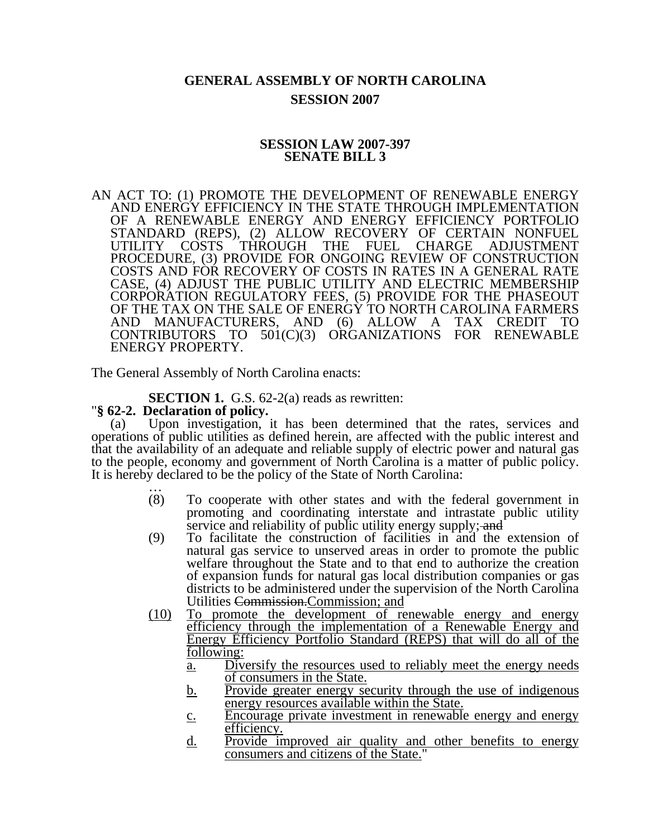# **GENERAL ASSEMBLY OF NORTH CAROLINA SESSION 2007**

# **SESSION LAW 2007-397 SENATE BILL 3**

AN ACT TO: (1) PROMOTE THE DEVELOPMENT OF RENEWABLE ENERGY AND ENERGY EFFICIENCY IN THE STATE THROUGH IMPLEMENTATION OF A RENEWABLE ENERGY AND ENERGY EFFICIENCY PORTFOLIO STANDARD (REPS), (2) ALLOW RECOVERY OF CERTAIN NONFUEL UTILITY COSTS THROUGH THE FUEL CHARGE ADJUSTMENT PROCEDURE, (3) PROVIDE FOR ONGOING REVIEW OF CONSTRUCTION COSTS AND FOR RECOVERY OF COSTS IN RATES IN A GENERAL RATE CASE, (4) ADJUST THE PUBLIC UTILITY AND ELECTRIC MEMBERSHIP CORPORATION REGULATORY FEES, (5) PROVIDE FOR THE PHASEOUT OF THE TAX ON THE SALE OF ENERGY TO NORTH CAROLINA FARMERS AND MANUFACTURERS, AND (6) ALLOW A TAX CREDIT TO CONTRIBUTORS TO 501(C)(3) ORGANIZATIONS FOR RENEWABLE ENERGY PROPERTY.

The General Assembly of North Carolina enacts:

**SECTION 1.** G.S. 62-2(a) reads as rewritten: "§ 62-2. Declaration of policy.

(a) Upon investigation, it has been determined that the rates, services and operations of public utilities as defined herein, are affected with the public interest and that the availability of an adequate and reliable supply of electric power and natural gas to the people, economy and government of North Carolina is a matter of public policy. It is hereby declared to be the policy of the State of North Carolina:<br>  $(8)$  To cooperate with other states and with the fec

- To cooperate with other states and with the federal government in promoting and coordinating interstate and intrastate public utility service and reliability of public utility energy supply; and
- (9) To facilitate the construction of facilities in and the extension of natural gas service to unserved areas in order to promote the public welfare throughout the State and to that end to authorize the creation of expansion funds for natural gas local distribution companies or gas districts to be administered under the supervision of the North Carolina Utilities Commission.Commission; and
- (10) To promote the development of renewable energy and energy efficiency through the implementation of a Renewable Energy and Energy Efficiency Portfolio Standard (REPS) that will do all of the following:
	- a. Diversify the resources used to reliably meet the energy needs of consumers in the State.
	- b. Provide greater energy security through the use of indigenous energy resources available within the State.
	- c. Encourage private investment in renewable energy and energy efficiency.
	- d. Provide improved air quality and other benefits to energy consumers and citizens of the State."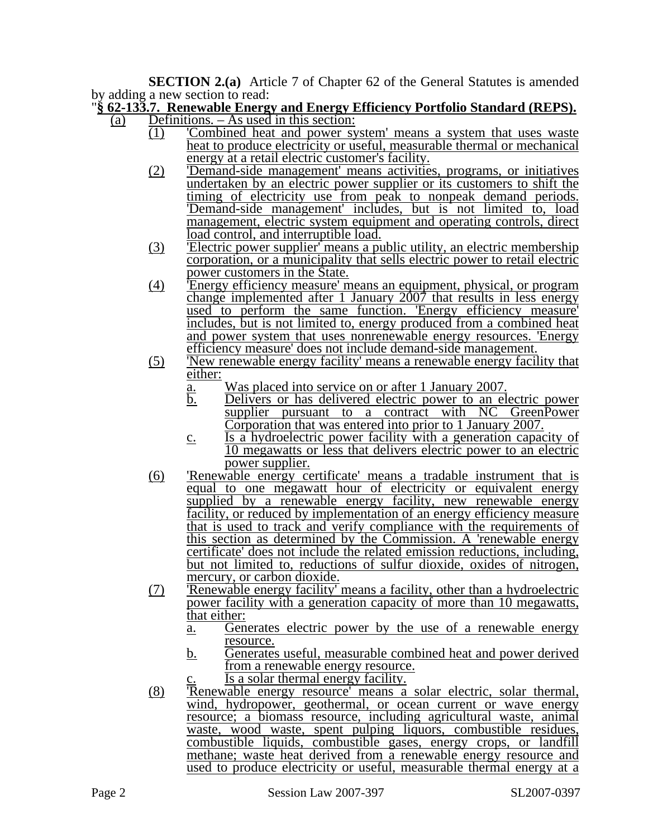**SECTION 2.(a)** Article 7 of Chapter 62 of the General Statutes is amended by adding a new section to read:

### "**§ 62-133.7. Renewable Energy and Energy Efficiency Portfolio Standard (REPS).** (a) Definitions. – As used in this section:

- (1) 'Combined heat and power system' means a system that uses waste heat to produce electricity or useful, measurable thermal or mechanical energy at a retail electric customer's facility.
	- (2) 'Demand-side management' means activities, programs, or initiatives undertaken by an electric power supplier or its customers to shift the timing of electricity use from peak to nonpeak demand periods. 'Demand-side management' includes, but is not limited to, load management, electric system equipment and operating controls, direct load control, and interruptible load.
	- (3) 'Electric power supplier' means a public utility, an electric membership corporation, or a municipality that sells electric power to retail electric power customers in the State.
	- (4) 'Energy efficiency measure' means an equipment, physical, or program change implemented after 1 January 2007 that results in less energy used to perform the same function. 'Energy efficiency measure' includes, but is not limited to, energy produced from a combined heat and power system that uses nonrenewable energy resources. 'Energy efficiency measure' does not include demand-side management.
	- (5) 'New renewable energy facility' means a renewable energy facility that either:
		- a. Was placed into service on or after 1 January 2007.<br>b. Delivers or has delivered electric power to an electric
		- b. Delivers or has delivered electric power to an electric power supplier pursuant to a contract with NC GreenPower Corporation that was entered into prior to 1 January 2007.
		- c. Is a hydroelectric power facility with a generation capacity of 10 megawatts or less that delivers electric power to an electric power supplier.
	- (6) 'Renewable energy certificate' means a tradable instrument that is equal to one megawatt hour of electricity or equivalent energy supplied by a renewable energy facility, new renewable energy facility, or reduced by implementation of an energy efficiency measure that is used to track and verify compliance with the requirements of this section as determined by the Commission. A 'renewable energy certificate' does not include the related emission reductions, including, but not limited to, reductions of sulfur dioxide, oxides of nitrogen, mercury, or carbon dioxide.
	- (7) 'Renewable energy facility' means a facility, other than a hydroelectric power facility with a generation capacity of more than 10 megawatts, that either:
		- a. Generates electric power by the use of a renewable energy resource.
		- b. Generates useful, measurable combined heat and power derived from a renewable energy resource.

 $\overline{Is a}$  solar thermal energy facility.

(8) 'Renewable energy resource' means a solar electric, solar thermal, wind, hydropower, geothermal, or ocean current or wave energy resource; a biomass resource, including agricultural waste, animal waste, wood waste, spent pulping liquors, combustible residues, combustible liquids, combustible gases, energy crops, or landfill methane; waste heat derived from a renewable energy resource and used to produce electricity or useful, measurable thermal energy at a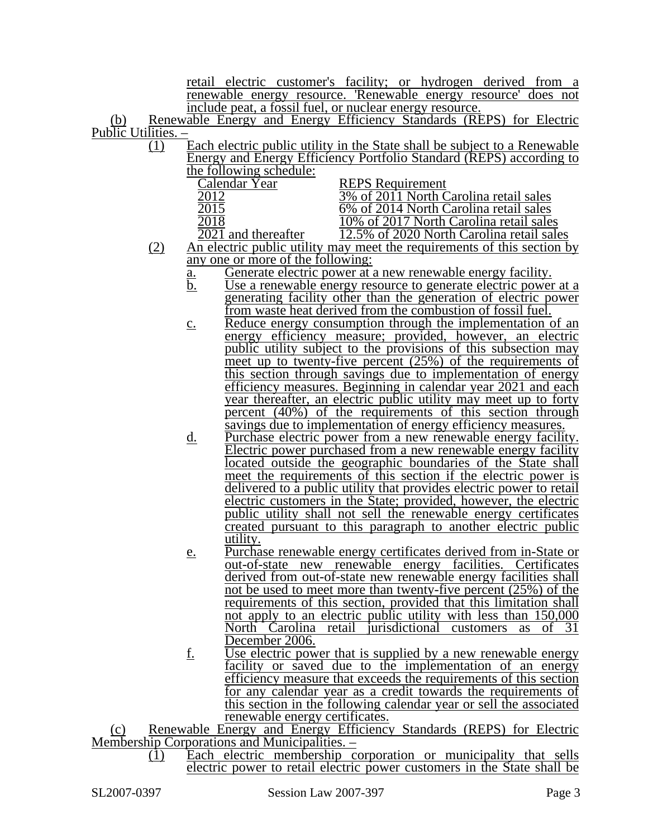retail electric customer's facility; or hydrogen derived from a renewable energy resource. 'Renewable energy resource' does not include peat, a fossil fuel, or nuclear energy resource.

(b) Renewable Energy and Energy Efficiency Standards (REPS) for Electric Public Utilities. –

 $\overline{(1)}$  Each electric public utility in the State shall be subject to a Renewable Energy and Energy Efficiency Portfolio Standard (REPS) according to the following schedule:

| <b>REPS</b> Requirement                   |
|-------------------------------------------|
| 3% of 2011 North Carolina retail sales    |
| 6% of 2014 North Carolina retail sales    |
| 10% of 2017 North Carolina retail sales   |
| 12.5% of 2020 North Carolina retail sales |
|                                           |

- (2) An electric public utility may meet the requirements of this section by any one or more of the following:
	- <u>a.</u> Generate electric power at a new renewable energy facility.<br>b. Use a renewable energy resource to generate electric power
	- Use a renewable energy resource to generate electric power at a generating facility other than the generation of electric power from waste heat derived from the combustion of fossil fuel.
	- c. Reduce energy consumption through the implementation of an energy efficiency measure; provided, however, an electric public utility subject to the provisions of this subsection may meet up to twenty-five percent (25%) of the requirements of this section through savings due to implementation of energy efficiency measures. Beginning in calendar year 2021 and each year thereafter, an electric public utility may meet up to forty percent (40%) of the requirements of this section through savings due to implementation of energy efficiency measures.
	- d. Purchase electric power from a new renewable energy facility. Electric power purchased from a new renewable energy facility located outside the geographic boundaries of the State shall meet the requirements of this section if the electric power is delivered to a public utility that provides electric power to retail electric customers in the State; provided, however, the electric public utility shall not sell the renewable energy certificates created pursuant to this paragraph to another electric public utility.
	- e. Purchase renewable energy certificates derived from in-State or out-of-state new renewable energy facilities. Certificates derived from out-of-state new renewable energy facilities shall not be used to meet more than twenty-five percent (25%) of the requirements of this section, provided that this limitation shall not apply to an electric public utility with less than 150,000 North Carolina retail jurisdictional customers as of 31 December 2006.
	- f. Use electric power that is supplied by a new renewable energy facility or saved due to the implementation of an energy efficiency measure that exceeds the requirements of this section for any calendar year as a credit towards the requirements of this section in the following calendar year or sell the associated renewable energy certificates.

(c) Renewable Energy and Energy Efficiency Standards (REPS) for Electric Membership Corporations and Municipalities. –

(1) Each electric membership corporation or municipality that sells electric power to retail electric power customers in the State shall be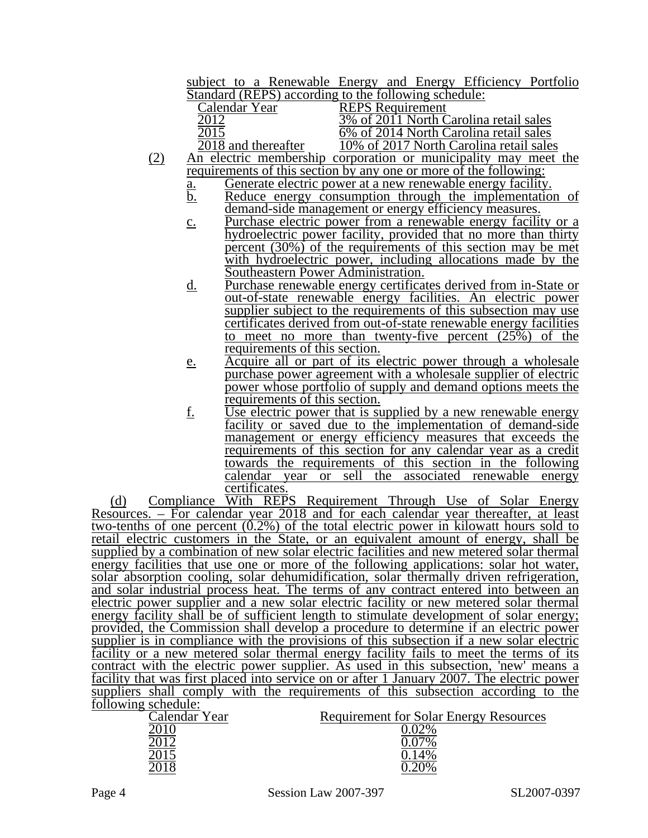subject to a Renewable Energy and Energy Efficiency Portfolio Standard (REPS) according to the following schedule:

| Calendar Year       | <b>REPS</b> Requirement                                         |
|---------------------|-----------------------------------------------------------------|
|                     | 3% of 2011 North Carolina retail sales                          |
|                     | 6% of 2014 North Carolina retail sales                          |
| 2018 and thereafter | 10% of 2017 North Carolina retail sales                         |
|                     | An electric membership corporation or municipality may meet the |

- requirements of this section by any one or more of the following:
	- <u>a.</u> Generate electric power at a new renewable energy facility.<br>b. Reduce energy consumption through the implementation Reduce energy consumption through the implementation of demand-side management or energy efficiency measures.
	- c. Purchase electric power from a renewable energy facility or a hydroelectric power facility, provided that no more than thirty percent  $(30\%)$  of the requirements of this section may be met with hydroelectric power, including allocations made by the Southeastern Power Administration.
	- d. Purchase renewable energy certificates derived from in-State or out-of-state renewable energy facilities. An electric power supplier subject to the requirements of this subsection may use certificates derived from out-of-state renewable energy facilities to meet no more than twenty-five percent (25%) of the requirements of this section.
	- e. Acquire all or part of its electric power through a wholesale purchase power agreement with a wholesale supplier of electric power whose portfolio of supply and demand options meets the requirements of this section.
	- f. Use electric power that is supplied by a new renewable energy facility or saved due to the implementation of demand-side management or energy efficiency measures that exceeds the requirements of this section for any calendar year as a credit towards the requirements of this section in the following calendar year or sell the associated renewable energy certificates.

(d) Compliance With REPS Requirement Through Use of Solar Energy Resources. – For calendar year 2018 and for each calendar year thereafter, at least two-tenths of one percent  $(0.2\%)$  of the total electric power in kilowatt hours sold to retail electric customers in the State, or an equivalent amount of energy, shall be supplied by a combination of new solar electric facilities and new metered solar thermal energy facilities that use one or more of the following applications: solar hot water, solar absorption cooling, solar dehumidification, solar thermally driven refrigeration, and solar industrial process heat. The terms of any contract entered into between an electric power supplier and a new solar electric facility or new metered solar thermal energy facility shall be of sufficient length to stimulate development of solar energy; provided, the Commission shall develop a procedure to determine if an electric power supplier is in compliance with the provisions of this subsection if a new solar electric facility or a new metered solar thermal energy facility fails to meet the terms of its contract with the electric power supplier. As used in this subsection, 'new' means a facility that was first placed into service on or after 1 January 2007. The electric power suppliers shall comply with the requirements of this subsection according to the following schedule:

| $10110$ $m_{\rm H}$ believate. |                                               |
|--------------------------------|-----------------------------------------------|
| Calendar Year                  | <b>Requirement for Solar Energy Resources</b> |
|                                | $\mathcal{O}^{o}$                             |
|                                |                                               |
|                                |                                               |
|                                | 10%                                           |
|                                |                                               |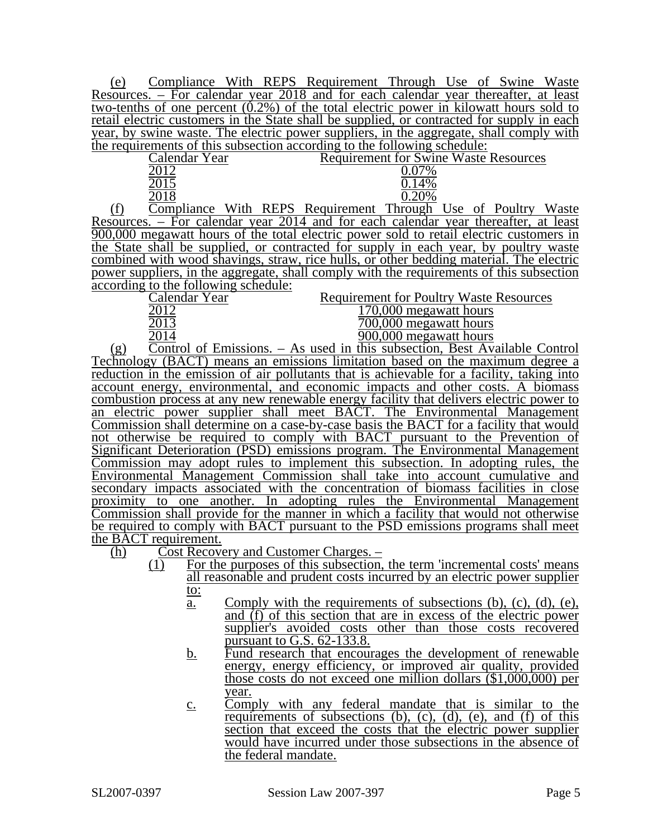(e) Compliance With REPS Requirement Through Use of Swine Waste Resources. – For calendar year 2018 and for each calendar year thereafter, at least two-tenths of one percent  $(0.2\%)$  of the total electric power in kilowatt hours sold to retail electric customers in the State shall be supplied, or contracted for supply in each year, by swine waste. The electric power suppliers, in the aggregate, shall comply with the requirements of this subsection according to the following schedule:

|        | Calendar Year |               |             |  | <b>Requirement for Swine Waste Resources</b> |  |  |  |
|--------|---------------|---------------|-------------|--|----------------------------------------------|--|--|--|
|        |               |               |             |  |                                              |  |  |  |
|        |               |               |             |  |                                              |  |  |  |
|        |               |               |             |  |                                              |  |  |  |
| $\sim$ |               | <b>TTT'.1</b> | <b>DEDC</b> |  | $\blacksquare$                               |  |  |  |

(f) Compliance With REPS Requirement Through Use of Poultry Waste Resources. – For calendar year 2014 and for each calendar year thereafter, at least 900,000 megawatt hours of the total electric power sold to retail electric customers in the State shall be supplied, or contracted for supply in each year, by poultry waste combined with wood shavings, straw, rice hulls, or other bedding material. The electric power suppliers, in the aggregate, shall comply with the requirements of this subsection according to the following schedule:<br>Calendar Year

2014 900,000 megawatt hours

Calendar Year Requirement for Poultry Waste Resources<br>2012 170.000 megawatt hours

| 2012  | 170,000 megawatt hours   |
|-------|--------------------------|
| 2013  | 700,000 megawatt hours   |
| . 011 | $000.000$ moggyptt hours |

(g) Control of Emissions. – As used in this subsection, Best Available Control Technology (BACT) means an emissions limitation based on the maximum degree a reduction in the emission of air pollutants that is achievable for a facility, taking into account energy, environmental, and economic impacts and other costs. A biomass combustion process at any new renewable energy facility that delivers electric power to an electric power supplier shall meet BACT. The Environmental Management Commission shall determine on a case-by-case basis the BACT for a facility that would not otherwise be required to comply with BACT pursuant to the Prevention of Significant Deterioration (PSD) emissions program. The Environmental Management Commission may adopt rules to implement this subsection. In adopting rules, the Environmental Management Commission shall take into account cumulative and secondary impacts associated with the concentration of biomass facilities in close proximity to one another. In adopting rules the Environmental Management Commission shall provide for the manner in which a facility that would not otherwise be required to comply with BACT pursuant to the PSD emissions programs shall meet the BACT requirement.

(h) Cost Recovery and Customer Charges. –

- $\overline{(1)}$  For the purposes of this subsection, the term 'incremental costs' means all reasonable and prudent costs incurred by an electric power supplier to:
	- a. Comply with the requirements of subsections (b), (c), (d), (e), and (f) of this section that are in excess of the electric power supplier's avoided costs other than those costs recovered pursuant to G.S. 62-133.8.
	- b. Fund research that encourages the development of renewable energy, energy efficiency, or improved air quality, provided those costs do not exceed one million dollars (\$1,000,000) per year.
	- c. Comply with any federal mandate that is similar to the requirements of subsections  $(b)$ ,  $(c)$ ,  $(d)$ ,  $(e)$ , and  $(f)$  of this section that exceed the costs that the electric power supplier would have incurred under those subsections in the absence of the federal mandate.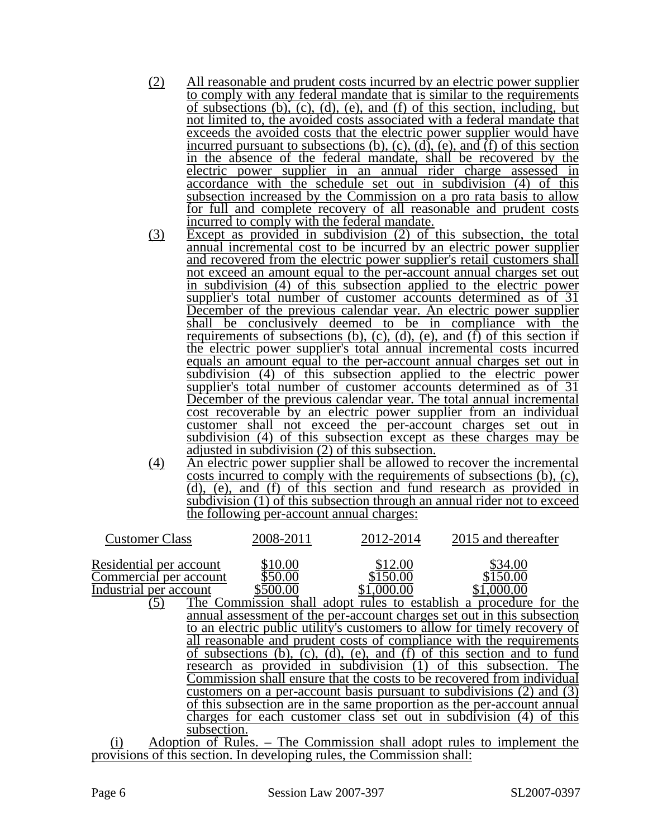- (2) All reasonable and prudent costs incurred by an electric power supplier to comply with any federal mandate that is similar to the requirements of subsections (b), (c), (d), (e), and (f) of this section, including, but not limited to, the avoided costs associated with a federal mandate that exceeds the avoided costs that the electric power supplier would have incurred pursuant to subsections (b), (c), (d), (e), and  $(f)$  of this section in the absence of the federal mandate, shall be recovered by the electric power supplier in an annual rider charge assessed in accordance with the schedule set out in subdivision (4) of this subsection increased by the Commission on a pro rata basis to allow for full and complete recovery of all reasonable and prudent costs incurred to comply with the federal mandate.
- (3) Except as provided in subdivision (2) of this subsection, the total annual incremental cost to be incurred by an electric power supplier and recovered from the electric power supplier's retail customers shall not exceed an amount equal to the per-account annual charges set out in subdivision (4) of this subsection applied to the electric power supplier's total number of customer accounts determined as of 31 December of the previous calendar year. An electric power supplier shall be conclusively deemed to be in compliance with the requirements of subsections (b), (c), (d), (e), and (f) of this section if the electric power supplier's total annual incremental costs incurred equals an amount equal to the per-account annual charges set out in subdivision (4) of this subsection applied to the electric power supplier's total number of customer accounts determined as of 31 December of the previous calendar year. The total annual incremental cost recoverable by an electric power supplier from an individual customer shall not exceed the per-account charges set out in subdivision (4) of this subsection except as these charges may be adjusted in subdivision (2) of this subsection.
- (4) An electric power supplier shall be allowed to recover the incremental costs incurred to comply with the requirements of subsections (b), (c), (d), (e), and (f) of this section and fund research as provided in subdivision (1) of this subsection through an annual rider not to exceed the following per-account annual charges:

| <b>Customer Class</b>                       | 2008-2011                      | 2012-2014                                              | 2015 and thereafter                                                       |
|---------------------------------------------|--------------------------------|--------------------------------------------------------|---------------------------------------------------------------------------|
| Residential per account                     | \$10.00                        | \$12.00                                                | \$34.00                                                                   |
| Commercial per account                      | \$50.00                        | \$150.00                                               | \$150.00                                                                  |
| Industrial per account                      | \$500.00                       | \$1,000.00                                             | \$1,000.00                                                                |
| (5)                                         |                                |                                                        | The Commission shall adopt rules to establish a procedure for the         |
|                                             |                                |                                                        | annual assessment of the per-account charges set out in this subsection   |
|                                             |                                |                                                        | to an electric public utility's customers to allow for timely recovery of |
|                                             |                                |                                                        | all reasonable and prudent costs of compliance with the requirements      |
|                                             | of subsections (b).<br>$(c)$ . | $(d)$ .<br>$(e)$ ,                                     | and (f) of this section and to fund                                       |
| research as                                 |                                | provided in subdivision (1)                            | this subsection. The<br>Οt                                                |
|                                             |                                |                                                        | Commission shall ensure that the costs to be recovered from individual    |
|                                             |                                |                                                        | customers on a per-account basis pursuant to subdivisions (2) and (3)     |
|                                             |                                |                                                        | of this subsection are in the same proportion as the per-account annual   |
|                                             |                                | charges for each customer class set out in subdivision | of this                                                                   |
| subsection.                                 |                                |                                                        |                                                                           |
| $\left( \cdot \right)$<br>Adoption of Dulga |                                |                                                        | The Commission shall adont rules to implement the                         |

(i) Adoption of Rules. – The Commission shall adopt rules to implement the provisions of this section. In developing rules, the Commission shall: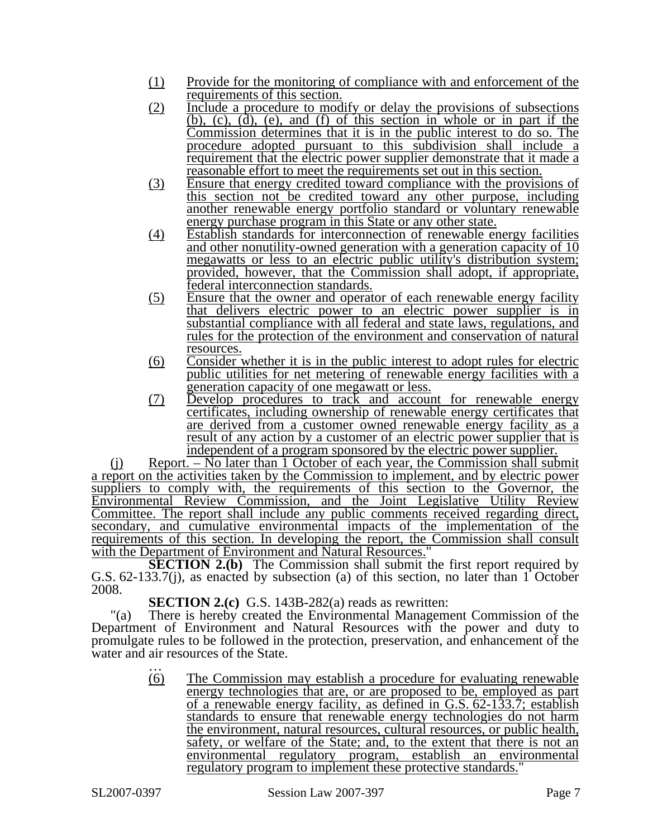- (1) Provide for the monitoring of compliance with and enforcement of the requirements of this section.
- (2) Include a procedure to modify or delay the provisions of subsections (b), (c), (d), (e), and (f) of this section in whole or in part if the Commission determines that it is in the public interest to do so. The procedure adopted pursuant to this subdivision shall include a requirement that the electric power supplier demonstrate that it made a reasonable effort to meet the requirements set out in this section.
- (3) Ensure that energy credited toward compliance with the provisions of this section not be credited toward any other purpose, including another renewable energy portfolio standard or voluntary renewable energy purchase program in this State or any other state.
- (4) Establish standards for interconnection of renewable energy facilities and other nonutility-owned generation with a generation capacity of 10 megawatts or less to an electric public utility's distribution system; provided, however, that the Commission shall adopt, if appropriate, federal interconnection standards.
- (5) Ensure that the owner and operator of each renewable energy facility that delivers electric power to an electric power supplier is in substantial compliance with all federal and state laws, regulations, and rules for the protection of the environment and conservation of natural resources.
- (6) Consider whether it is in the public interest to adopt rules for electric public utilities for net metering of renewable energy facilities with a generation capacity of one megawatt or less.
- (7) Develop procedures to track and account for renewable energy certificates, including ownership of renewable energy certificates that are derived from a customer owned renewable energy facility as a result of any action by a customer of an electric power supplier that is independent of a program sponsored by the electric power supplier.

(j) Report. – No later than 1 October of each year, the Commission shall submit a report on the activities taken by the Commission to implement, and by electric power suppliers to comply with, the requirements of this section to the Governor, the Environmental Review Commission, and the Joint Legislative Utility Review Committee. The report shall include any public comments received regarding direct, secondary, and cumulative environmental impacts of the implementation of the requirements of this section. In developing the report, the Commission shall consult with the Department of Environment and Natural Resources."

**SECTION 2.(b)** The Commission shall submit the first report required by G.S. 62-133.7(j), as enacted by subsection (a) of this section, no later than 1 October 2008.

**SECTION 2.(c)** G.S. 143B-282(a) reads as rewritten:

"(a) There is hereby created the Environmental Management Commission of the Department of Environment and Natural Resources with the power and duty to promulgate rules to be followed in the protection, preservation, and enhancement of the water and air resources of the State.<br>
...<br>
(6) The Commission 1

The Commission may establish a procedure for evaluating renewable energy technologies that are, or are proposed to be, employed as part of a renewable energy facility, as defined in G.S. 62-133.7; establish standards to ensure that renewable energy technologies do not harm the environment, natural resources, cultural resources, or public health, safety, or welfare of the State; and, to the extent that there is not an environmental regulatory program, establish an environmental regulatory program to implement these protective standards."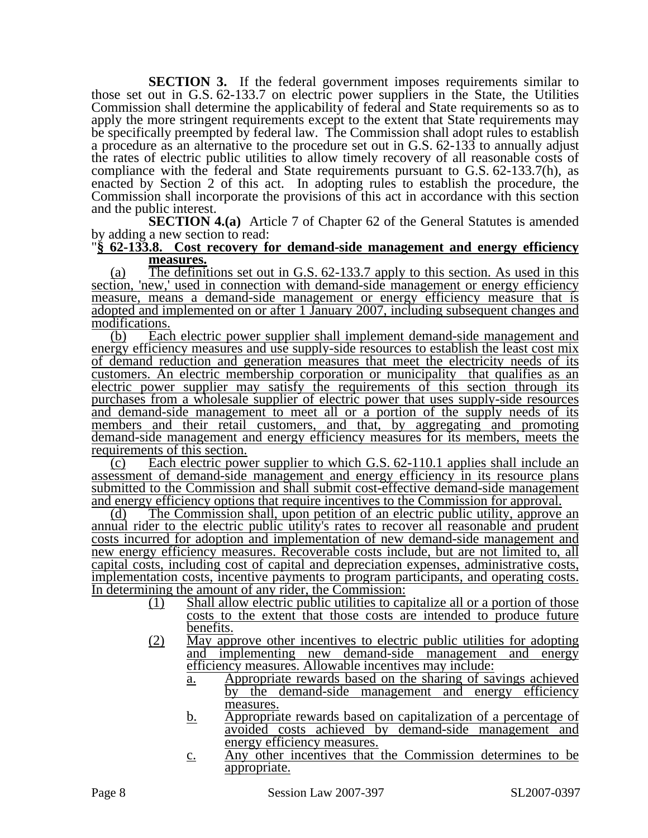**SECTION 3.** If the federal government imposes requirements similar to those set out in G.S. 62-133.7 on electric power suppliers in the State, the Utilities Commission shall determine the applicability of federal and State requirements so as to apply the more stringent requirements except to the extent that State requirements may be specifically preempted by federal law. The Commission shall adopt rules to establish a procedure as an alternative to the procedure set out in G.S. 62-133 to annually adjust the rates of electric public utilities to allow timely recovery of all reasonable costs of compliance with the federal and State requirements pursuant to G.S. 62-133.7(h), as enacted by Section 2 of this act. In adopting rules to establish the procedure, the Commission shall incorporate the provisions of this act in accordance with this section and the public interest.

**SECTION 4.(a)** Article 7 of Chapter 62 of the General Statutes is amended by adding a new section to read:

### "**§ 62-133.8. Cost recovery for demand-side management and energy efficiency measures.**

(a) The definitions set out in G.S. 62-133.7 apply to this section. As used in this section, 'new,' used in connection with demand-side management or energy efficiency measure, means a demand-side management or energy efficiency measure that is adopted and implemented on or after 1 January 2007, including subsequent changes and modifications.

(b) Each electric power supplier shall implement demand-side management and energy efficiency measures and use supply-side resources to establish the least cost mix of demand reduction and generation measures that meet the electricity needs of its customers. An electric membership corporation or municipality that qualifies as an electric power supplier may satisfy the requirements of this section through its purchases from a wholesale supplier of electric power that uses supply-side resources and demand-side management to meet all or a portion of the supply needs of its members and their retail customers, and that, by aggregating and promoting demand-side management and energy efficiency measures for its members, meets the requirements of this section.

(c) Each electric power supplier to which G.S. 62-110.1 applies shall include an assessment of demand-side management and energy efficiency in its resource plans submitted to the Commission and shall submit cost-effective demand-side management

and energy efficiency options that require incentives to the Commission for approval.<br>(d) The Commission shall, upon petition of an electric public utility, approve The Commission shall, upon petition of an electric public utility, approve an annual rider to the electric public utility's rates to recover all reasonable and prudent costs incurred for adoption and implementation of new demand-side management and new energy efficiency measures. Recoverable costs include, but are not limited to, all capital costs, including cost of capital and depreciation expenses, administrative costs, implementation costs, incentive payments to program participants, and operating costs. In determining the amount of any rider, the Commission:

- (1) Shall allow electric public utilities to capitalize all or a portion of those costs to the extent that those costs are intended to produce future benefits.
- (2) May approve other incentives to electric public utilities for adopting and implementing new demand-side management and energy efficiency measures. Allowable incentives may include:
	- a. Appropriate rewards based on the sharing of savings achieved by the demand-side management and energy efficiency measures.
	- b. Appropriate rewards based on capitalization of a percentage of avoided costs achieved by demand-side management and energy efficiency measures.
	- c. Any other incentives that the Commission determines to be appropriate.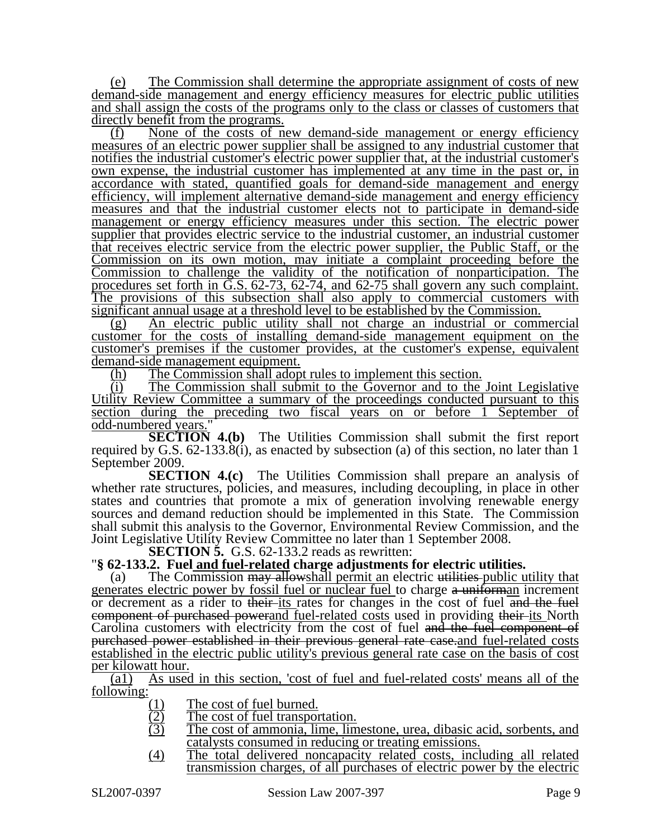(e) The Commission shall determine the appropriate assignment of costs of new demand-side management and energy efficiency measures for electric public utilities and shall assign the costs of the programs only to the class or classes of customers that directly benefit from the programs.

(f) None of the costs of new demand-side management or energy efficiency measures of an electric power supplier shall be assigned to any industrial customer that notifies the industrial customer's electric power supplier that, at the industrial customer's own expense, the industrial customer has implemented at any time in the past or, in accordance with stated, quantified goals for demand-side management and energy efficiency, will implement alternative demand-side management and energy efficiency measures and that the industrial customer elects not to participate in demand-side management or energy efficiency measures under this section. The electric power supplier that provides electric service to the industrial customer, an industrial customer that receives electric service from the electric power supplier, the Public Staff, or the Commission on its own motion, may initiate a complaint proceeding before the Commission to challenge the validity of the notification of nonparticipation. The procedures set forth in G.S. 62-73, 62-74, and 62-75 shall govern any such complaint. The provisions of this subsection shall also apply to commercial customers with significant annual usage at a threshold level to be established by the Commission.

(g) An electric public utility shall not charge an industrial or commercial customer for the costs of installing demand-side management equipment on the customer's premises if the customer provides, at the customer's expense, equivalent demand-side management equipment.

(h) The Commission shall adopt rules to implement this section.

(i) The Commission shall submit to the Governor and to the Joint Legislative Utility Review Committee a summary of the proceedings conducted pursuant to this section during the preceding two fiscal years on or before 1 September of odd-numbered years.

**SECTION 4.(b)** The Utilities Commission shall submit the first report required by G.S. 62-133.8(i), as enacted by subsection (a) of this section, no later than 1 September 2009.

**SECTION 4.(c)** The Utilities Commission shall prepare an analysis of whether rate structures, policies, and measures, including decoupling, in place in other states and countries that promote a mix of generation involving renewable energy sources and demand reduction should be implemented in this State. The Commission shall submit this analysis to the Governor, Environmental Review Commission, and the Joint Legislative Utility Review Committee no later than 1 September 2008.<br>SECTION 5. G.S. 62-133.2 reads as rewritten:

**''§ 62-133.2. Fuel and fuel-related charge adjustments for electric utilities.** 

(a) The Commission may allowshall permit an electric utilities public utility that generates electric power by fossil fuel or nuclear fuel to charge a uniforman increment or decrement as a rider to their-its rates for changes in the cost of fuel and the fuel component of purchased powerand fuel-related costs used in providing their its North Carolina customers with electricity from the cost of fuel and the fuel component of purchased power established in their previous general rate case.and fuel-related costs established in the electric public utility's previous general rate case on the basis of cost per kilowatt hour.

(a1) As used in this section, 'cost of fuel and fuel-related costs' means all of the following:

- 
- $\frac{(1)}{(2)}$  The cost of fuel burned.<br>
The cost of fuel transpor<br>
The cost of ammonia, lin The cost of fuel transportation.
- The cost of ammonia, lime, limestone, urea, dibasic acid, sorbents, and catalysts consumed in reducing or treating emissions.
- (4) The total delivered noncapacity related costs, including all related transmission charges, of all purchases of electric power by the electric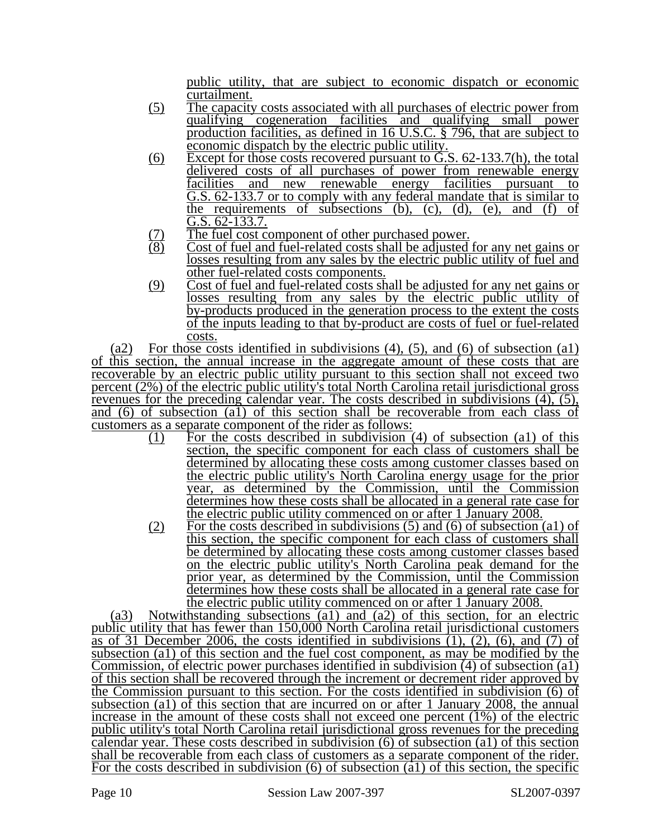public utility, that are subject to economic dispatch or economic curtailment.

- (5) The capacity costs associated with all purchases of electric power from qualifying cogeneration facilities and qualifying small power production facilities, as defined in 16 U.S.C. § 796, that are subject to economic dispatch by the electric public utility.
- (6) Except for those costs recovered pursuant to  $\overline{G.S.}$  62-133.7(h), the total delivered costs of all purchases of power from renewable energy facilities and new renewable energy facilities pursuant to G.S. 62-133.7 or to comply with any federal mandate that is similar to the requirements of subsections  $(b)$ ,  $(c)$ ,  $(d)$ ,  $(e)$ , and  $(f)$  of G.S. 62-133.7.
- $(7)$  The fuel cost component of other purchased power.<br> $(8)$  Cost of fuel and fuel-related costs shall be adjusted
- Cost of fuel and fuel-related costs shall be adjusted for any net gains or losses resulting from any sales by the electric public utility of fuel and other fuel-related costs components.
- (9) Cost of fuel and fuel-related costs shall be adjusted for any net gains or losses resulting from any sales by the electric public utility of by-products produced in the generation process to the extent the costs of the inputs leading to that by-product are costs of fuel or fuel-related costs.

(a2) For those costs identified in subdivisions  $(4)$ ,  $(5)$ , and  $(6)$  of subsection  $(4)$ of this section, the annual increase in the aggregate amount of these costs that are recoverable by an electric public utility pursuant to this section shall not exceed two percent (2%) of the electric public utility's total North Carolina retail jurisdictional gross revenues for the preceding calendar year. The costs described in subdivisions (4), (5), and (6) of subsection (a1) of this section shall be recoverable from each class of customers as a separate component of the rider as follows:

- (1) For the costs described in subdivision (4) of subsection (a1) of this section, the specific component for each class of customers shall be determined by allocating these costs among customer classes based on the electric public utility's North Carolina energy usage for the prior year, as determined by the Commission, until the Commission determines how these costs shall be allocated in a general rate case for the electric public utility commenced on or after 1 January 2008.
- (2) For the costs described in subdivisions  $(5)$  and  $(6)$  of subsection  $(a1)$  of this section, the specific component for each class of customers shall be determined by allocating these costs among customer classes based on the electric public utility's North Carolina peak demand for the prior year, as determined by the Commission, until the Commission determines how these costs shall be allocated in a general rate case for the electric public utility commenced on or after 1 January 2008.

(a3) Notwithstanding subsections (a1) and (a2) of this section, for an electric public utility that has fewer than 150,000 North Carolina retail jurisdictional customers as of 31 December 2006, the costs identified in subdivisions  $(1)$ ,  $(2)$ ,  $(6)$ , and  $(7)$  of subsection (a1) of this section and the fuel cost component, as may be modified by the Commission, of electric power purchases identified in subdivision  $(4)$  of subsection  $(a1)$ of this section shall be recovered through the increment or decrement rider approved by the Commission pursuant to this section. For the costs identified in subdivision (6) of subsection (a1) of this section that are incurred on or after 1 January 2008, the annual increase in the amount of these costs shall not exceed one percent (1%) of the electric public utility's total North Carolina retail jurisdictional gross revenues for the preceding calendar year. These costs described in subdivision  $\overline{(6)}$  of subsection (a1) of this section shall be recoverable from each class of customers as a separate component of the rider. For the costs described in subdivision  $(6)$  of subsection  $(\hat{a}1)$  of this section, the specific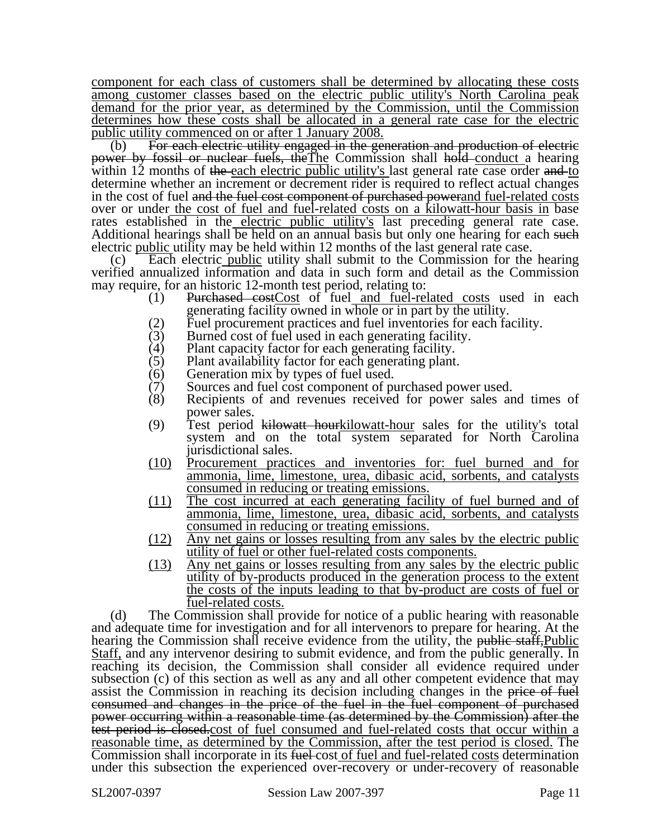component for each class of customers shall be determined by allocating these costs among customer classes based on the electric public utility's North Carolina peak demand for the prior year, as determined by the Commission, until the Commission determines how these costs shall be allocated in a general rate case for the electric public utility commenced on or after 1 January 2008.

(b) For each electric utility engaged in the generation and production of electric power by fossil or nuclear fuels, theThe Commission shall hold conduct a hearing within 12 months of the each electric public utility's last general rate case order and to determine whether an increment or decrement rider is required to reflect actual changes in the cost of fuel and the fuel cost component of purchased powerand fuel-related costs over or under the cost of fuel and fuel-related costs on a kilowatt-hour basis in base rates established in the electric public utility's last preceding general rate case. Additional hearings shall be held on an annual basis but only one hearing for each such electric public utility may be held within 12 months of the last general rate case.

(c) Each electric public utility shall submit to the Commission for the hearing verified annualized information and data in such form and detail as the Commission may require, for an historic 12-month test period, relating to:

- (1) Purchased costCost of fuel and fuel-related costs used in each generating facility owned in whole or in part by the utility.
- (2) Fuel procurement practices and fuel inventories for each facility.<br>  $(3)$  Burned cost of fuel used in each generating facility.
- (3) Burned cost of fuel used in each generating facility.<br>(4) Plant capacity factor for each generating facility.
- (4) Plant capacity factor for each generating facility.<br>(5) Plant availability factor for each generating plant
- (5) Plant availability factor for each generating plant.<br>(6) Generation mix by types of fuel used.
- (6) Generation mix by types of fuel used.<br>(7) Sources and fuel cost component of pu
- (7) Sources and fuel cost component of purchased power used.<br>(8) Recipients of and revenues received for power sales are
- Recipients of and revenues received for power sales and times of power sales.
- (9) Test period kilowatt hourkilowatt-hour sales for the utility's total system and on the total system separated for North Carolina jurisdictional sales.
- (10) Procurement practices and inventories for: fuel burned and for ammonia, lime, limestone, urea, dibasic acid, sorbents, and catalysts consumed in reducing or treating emissions.
- (11) The cost incurred at each generating facility of fuel burned and of ammonia, lime, limestone, urea, dibasic acid, sorbents, and catalysts consumed in reducing or treating emissions.
- (12) Any net gains or losses resulting from any sales by the electric public utility of fuel or other fuel-related costs components.
- (13) Any net gains or losses resulting from any sales by the electric public utility of by-products produced in the generation process to the extent the costs of the inputs leading to that by-product are costs of fuel or fuel-related costs.

(d) The Commission shall provide for notice of a public hearing with reasonable and adequate time for investigation and for all intervenors to prepare for hearing. At the hearing the Commission shall receive evidence from the utility, the public staff. Public Staff, and any intervenor desiring to submit evidence, and from the public generally. In reaching its decision, the Commission shall consider all evidence required under subsection (c) of this section as well as any and all other competent evidence that may assist the Commission in reaching its decision including changes in the price of fuel consumed and changes in the price of the fuel in the fuel component of purchased power occurring within a reasonable time (as determined by the Commission) after the test period is closed.cost of fuel consumed and fuel-related costs that occur within a reasonable time, as determined by the Commission, after the test period is closed. The Commission shall incorporate in its fuel-cost of fuel and fuel-related costs determination under this subsection the experienced over-recovery or under-recovery of reasonable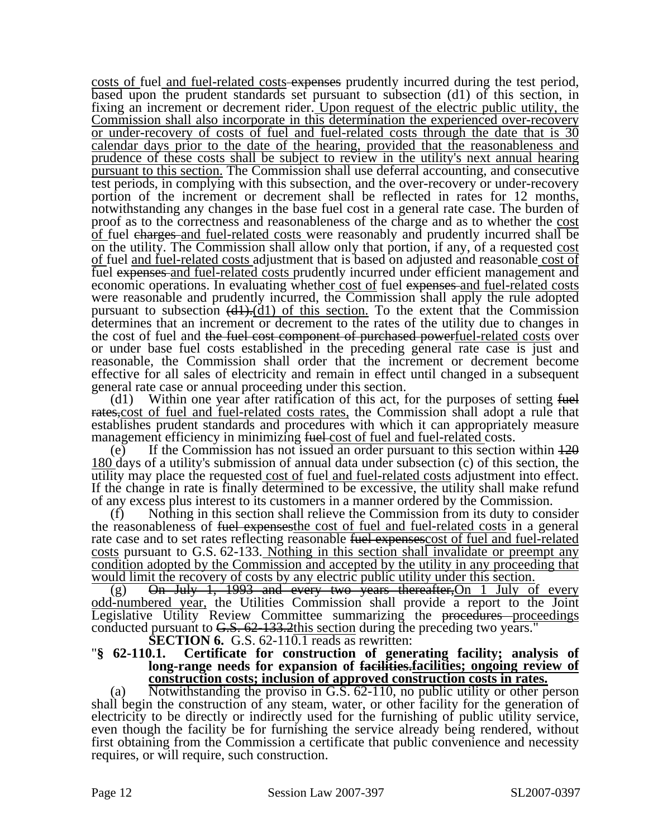costs of fuel and fuel-related costs expenses prudently incurred during the test period, based upon the prudent standards set pursuant to subsection (d1) of this section, in fixing an increment or decrement rider. Upon request of the electric public utility, the Commission shall also incorporate in this determination the experienced over-recovery or under-recovery of costs of fuel and fuel-related costs through the date that is 30 calendar days prior to the date of the hearing, provided that the reasonableness and prudence of these costs shall be subject to review in the utility's next annual hearing pursuant to this section. The Commission shall use deferral accounting, and consecutive test periods, in complying with this subsection, and the over-recovery or under-recovery portion of the increment or decrement shall be reflected in rates for 12 months, notwithstanding any changes in the base fuel cost in a general rate case. The burden of proof as to the correctness and reasonableness of the charge and as to whether the cost of fuel charges and fuel-related costs were reasonably and prudently incurred shall be on the utility. The Commission shall allow only that portion, if any, of a requested cost of fuel and fuel-related costs adjustment that is based on adjusted and reasonable cost of fuel expenses and fuel-related costs prudently incurred under efficient management and economic operations. In evaluating whether cost of fuel expenses and fuel-related costs were reasonable and prudently incurred, the Commission shall apply the rule adopted pursuant to subsection  $(d1)$ . $(d1)$  of this section. To the extent that the Commission determines that an increment or decrement to the rates of the utility due to changes in the cost of fuel and the fuel cost component of purchased powerfuel-related costs over or under base fuel costs established in the preceding general rate case is just and reasonable, the Commission shall order that the increment or decrement become effective for all sales of electricity and remain in effect until changed in a subsequent general rate case or annual proceeding under this section.

(d1) Within one year after ratification of this act, for the purposes of setting  $f_{\text{t}}$ rates,cost of fuel and fuel-related costs rates, the Commission shall adopt a rule that establishes prudent standards and procedures with which it can appropriately measure management efficiency in minimizing fuel-cost of fuel and fuel-related costs.

(e) If the Commission has not issued an order pursuant to this section within  $\frac{120}{20}$ 180 days of a utility's submission of annual data under subsection (c) of this section, the utility may place the requested cost of fuel and fuel-related costs adjustment into effect. If the change in rate is finally determined to be excessive, the utility shall make refund of any excess plus interest to its customers in a manner ordered by the Commission.

(f) Nothing in this section shall relieve the Commission from its duty to consider the reasonableness of fuel expenses the cost of fuel and fuel-related costs in a general rate case and to set rates reflecting reasonable fuel expenses cost of fuel and fuel-related costs pursuant to G.S. 62-133. Nothing in this section shall invalidate or preempt any condition adopted by the Commission and accepted by the utility in any proceeding that would limit the recovery of costs by any electric public utility under this section.

(g) On July 1, 1993 and every two years thereafter, On 1 July of every odd-numbered year, the Utilities Commission shall provide a report to the Joint Legislative Utility Review Committee summarizing the proceedures proceedings conducted pursuant to  $G.S. 62-133.2$ this section during the preceding two years."<br>**SECTION 6.** G.S. 62-110.1 reads as rewritten:

# **Section 62-110.1.** Certificate for construction of generating facility; analysis of **long-range needs for expansion of facilities.facilities; ongoing review of construction costs; inclusion of approved construction costs in rates.**

(a) Notwithstanding the proviso in G.S. 62-110, no public utility or other person shall begin the construction of any steam, water, or other facility for the generation of electricity to be directly or indirectly used for the furnishing of public utility service, even though the facility be for furnishing the service already being rendered, without first obtaining from the Commission a certificate that public convenience and necessity requires, or will require, such construction.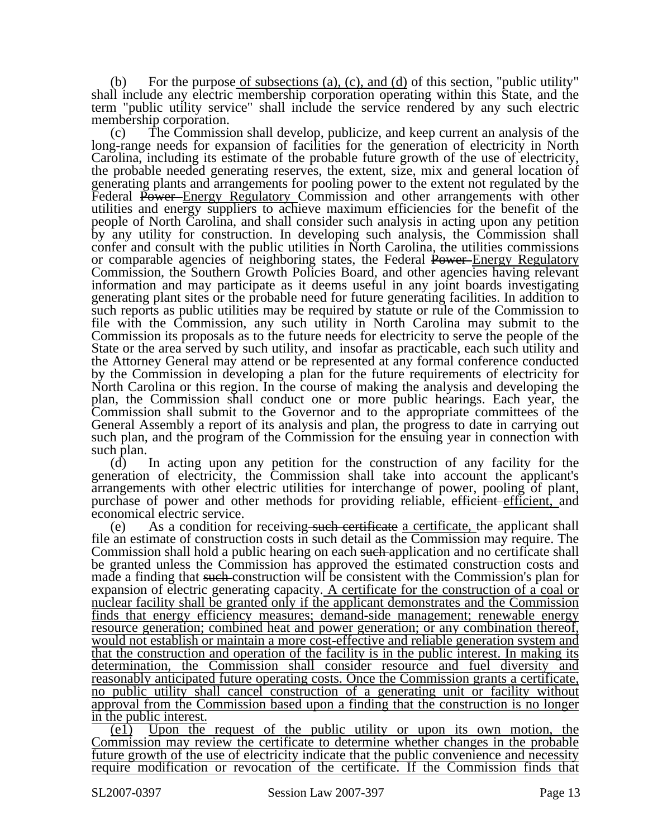(b) For the purpose of subsections (a), (c), and (d) of this section, "public utility" shall include any electric membership corporation operating within this State, and the term "public utility service" shall include the service rendered by any such electric membership corporation.

(c) The Commission shall develop, publicize, and keep current an analysis of the long-range needs for expansion of facilities for the generation of electricity in North Carolina, including its estimate of the probable future growth of the use of electricity, the probable needed generating reserves, the extent, size, mix and general location of generating plants and arrangements for pooling power to the extent not regulated by the Federal Power-Energy Regulatory Commission and other arrangements with other utilities and energy suppliers to achieve maximum efficiencies for the benefit of the people of North Carolina, and shall consider such analysis in acting upon any petition by any utility for construction. In developing such analysis, the Commission shall confer and consult with the public utilities in North Carolina, the utilities commissions or comparable agencies of neighboring states, the Federal Power–Energy Regulatory Commission, the Southern Growth Policies Board, and other agencies having relevant information and may participate as it deems useful in any joint boards investigating generating plant sites or the probable need for future generating facilities. In addition to such reports as public utilities may be required by statute or rule of the Commission to file with the Commission, any such utility in North Carolina may submit to the Commission its proposals as to the future needs for electricity to serve the people of the State or the area served by such utility, and insofar as practicable, each such utility and the Attorney General may attend or be represented at any formal conference conducted by the Commission in developing a plan for the future requirements of electricity for North Carolina or this region. In the course of making the analysis and developing the plan, the Commission shall conduct one or more public hearings. Each year, the Commission shall submit to the Governor and to the appropriate committees of the General Assembly a report of its analysis and plan, the progress to date in carrying out such plan, and the program of the Commission for the ensuing year in connection with such plan.

(d) In acting upon any petition for the construction of any facility for the generation of electricity, the Commission shall take into account the applicant's arrangements with other electric utilities for interchange of power, pooling of plant, purchase of power and other methods for providing reliable, efficient efficient, and economical electric service.

(e) As a condition for receiving such certificate a certificate, the applicant shall file an estimate of construction costs in such detail as the Commission may require. The Commission shall hold a public hearing on each such application and no certificate shall be granted unless the Commission has approved the estimated construction costs and made a finding that such construction will be consistent with the Commission's plan for expansion of electric generating capacity. A certificate for the construction of a coal or nuclear facility shall be granted only if the applicant demonstrates and the Commission finds that energy efficiency measures; demand-side management; renewable energy resource generation; combined heat and power generation; or any combination thereof, would not establish or maintain a more cost-effective and reliable generation system and that the construction and operation of the facility is in the public interest. In making its determination, the Commission shall consider resource and fuel diversity and reasonably anticipated future operating costs. Once the Commission grants a certificate, no public utility shall cancel construction of a generating unit or facility without approval from the Commission based upon a finding that the construction is no longer in the public interest.

(e1) Upon the request of the public utility or upon its own motion, the Commission may review the certificate to determine whether changes in the probable future growth of the use of electricity indicate that the public convenience and necessity require modification or revocation of the certificate. If the Commission finds that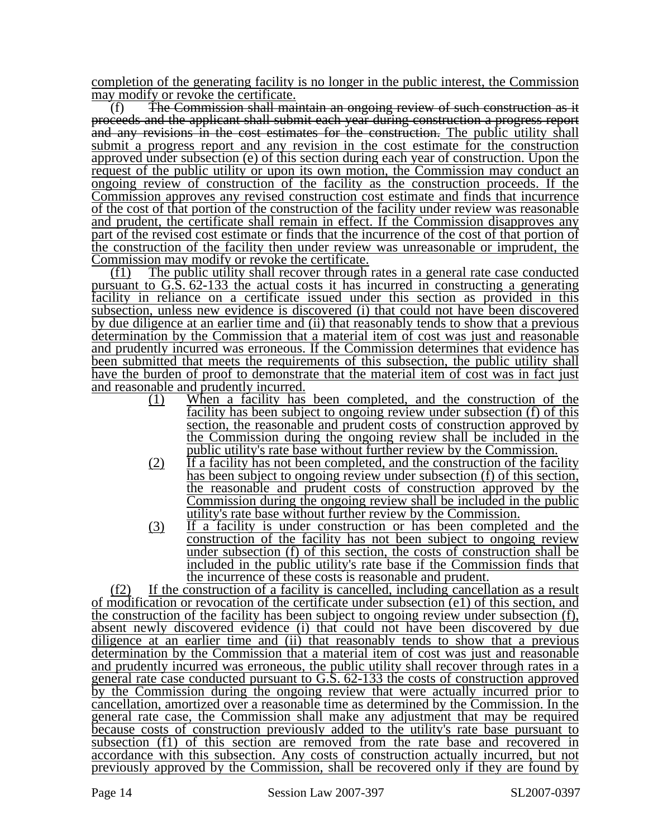completion of the generating facility is no longer in the public interest, the Commission may modify or revoke the certificate.

(f) The Commission shall maintain an ongoing review of such construction as it proceeds and the applicant shall submit each year during construction a progress report and any revisions in the cost estimates for the construction. The public utility shall submit a progress report and any revision in the cost estimate for the construction approved under subsection (e) of this section during each year of construction. Upon the request of the public utility or upon its own motion, the Commission may conduct an ongoing review of construction of the facility as the construction proceeds. If the Commission approves any revised construction cost estimate and finds that incurrence of the cost of that portion of the construction of the facility under review was reasonable and prudent, the certificate shall remain in effect. If the Commission disapproves any part of the revised cost estimate or finds that the incurrence of the cost of that portion of the construction of the facility then under review was unreasonable or imprudent, the Commission may modify or revoke the certificate.

(f1) The public utility shall recover through rates in a general rate case conducted pursuant to G.S. 62-133 the actual costs it has incurred in constructing a generating facility in reliance on a certificate issued under this section as provided in this subsection, unless new evidence is discovered (i) that could not have been discovered by due diligence at an earlier time and (ii) that reasonably tends to show that a previous determination by the Commission that a material item of cost was just and reasonable and prudently incurred was erroneous. If the Commission determines that evidence has been submitted that meets the requirements of this subsection, the public utility shall have the burden of proof to demonstrate that the material item of cost was in fact just and reasonable and prudently incurred.

- (1) When a facility has been completed, and the construction of the facility has been subject to ongoing review under subsection (f) of this section, the reasonable and prudent costs of construction approved by the Commission during the ongoing review shall be included in the public utility's rate base without further review by the Commission.
- (2) If a facility has not been completed, and the construction of the facility has been subject to ongoing review under subsection (f) of this section, the reasonable and prudent costs of construction approved by the Commission during the ongoing review shall be included in the public utility's rate base without further review by the Commission.
- (3) If a facility is under construction or has been completed and the construction of the facility has not been subject to ongoing review under subsection (f) of this section, the costs of construction shall be included in the public utility's rate base if the Commission finds that the incurrence of these costs is reasonable and prudent.

(f2) If the construction of a facility is cancelled, including cancellation as a result of modification or revocation of the certificate under subsection (e1) of this section, and the construction of the facility has been subject to ongoing review under subsection (f), absent newly discovered evidence (i) that could not have been discovered by due diligence at an earlier time and (ii) that reasonably tends to show that a previous determination by the Commission that a material item of cost was just and reasonable and prudently incurred was erroneous, the public utility shall recover through rates in a general rate case conducted pursuant to G.S. 62-133 the costs of construction approved by the Commission during the ongoing review that were actually incurred prior to cancellation, amortized over a reasonable time as determined by the Commission. In the general rate case, the Commission shall make any adjustment that may be required because costs of construction previously added to the utility's rate base pursuant to subsection (f1) of this section are removed from the rate base and recovered in accordance with this subsection. Any costs of construction actually incurred, but not previously approved by the Commission, shall be recovered only if they are found by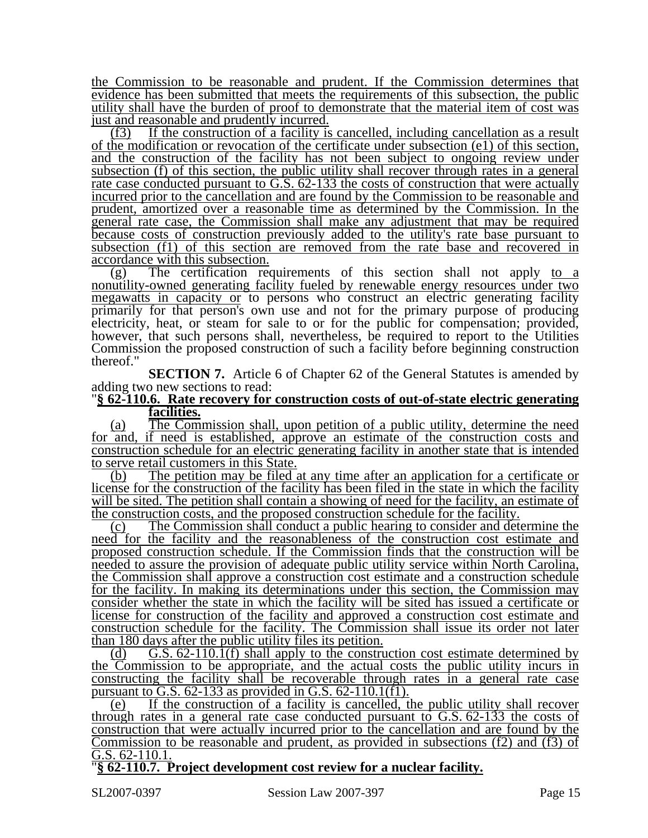the Commission to be reasonable and prudent. If the Commission determines that evidence has been submitted that meets the requirements of this subsection, the public utility shall have the burden of proof to demonstrate that the material item of cost was just and reasonable and prudently incurred.

(f3) If the construction of a facility is cancelled, including cancellation as a result of the modification or revocation of the certificate under subsection (e1) of this section, and the construction of the facility has not been subject to ongoing review under subsection (f) of this section, the public utility shall recover through rates in a general rate case conducted pursuant to G.S. 62-133 the costs of construction that were actually incurred prior to the cancellation and are found by the Commission to be reasonable and prudent, amortized over a reasonable time as determined by the Commission. In the general rate case, the Commission shall make any adjustment that may be required because costs of construction previously added to the utility's rate base pursuant to subsection (f1) of this section are removed from the rate base and recovered in accordance with this subsection.

(g) The certification requirements of this section shall not apply to a nonutility-owned generating facility fueled by renewable energy resources under two megawatts in capacity or to persons who construct an electric generating facility primarily for that person's own use and not for the primary purpose of producing electricity, heat, or steam for sale to or for the public for compensation; provided, however, that such persons shall, nevertheless, be required to report to the Utilities Commission the proposed construction of such a facility before beginning construction thereof."

**SECTION 7.** Article 6 of Chapter 62 of the General Statutes is amended by adding two new sections to read:

### "**§ 62-110.6. Rate recovery for construction costs of out-of-state electric generating facilities.**

(a) The Commission shall, upon petition of a public utility, determine the need for and, if need is established, approve an estimate of the construction costs and construction schedule for an electric generating facility in another state that is intended to serve retail customers in this State.

(b) The petition may be filed at any time after an application for a certificate or license for the construction of the facility has been filed in the state in which the facility will be sited. The petition shall contain a showing of need for the facility, an estimate of the construction costs, and the proposed construction schedule for the facility.

(c) The Commission shall conduct a public hearing to consider and determine the need for the facility and the reasonableness of the construction cost estimate and proposed construction schedule. If the Commission finds that the construction will be needed to assure the provision of adequate public utility service within North Carolina, the Commission shall approve a construction cost estimate and a construction schedule for the facility. In making its determinations under this section, the Commission may consider whether the state in which the facility will be sited has issued a certificate or license for construction of the facility and approved a construction cost estimate and construction schedule for the facility. The Commission shall issue its order not later than 180 days after the public utility files its petition.

(d)  $\overline{G.S. 62-110.1(f)}$  shall apply to the construction cost estimate determined by the Commission to be appropriate, and the actual costs the public utility incurs in constructing the facility shall be recoverable through rates in a general rate case pursuant to G.S.  $62-133$  as provided in G.S.  $62-110.1(f1)$ .

(e) If the construction of a facility is cancelled, the public utility shall recover through rates in a general rate case conducted pursuant to  $G.S. 62-133$  the costs of construction that were actually incurred prior to the cancellation and are found by the Commission to be reasonable and prudent, as provided in subsections (f2) and (f3) of G.S. 62-110.1.

"**§ 62-110.7. Project development cost review for a nuclear facility.**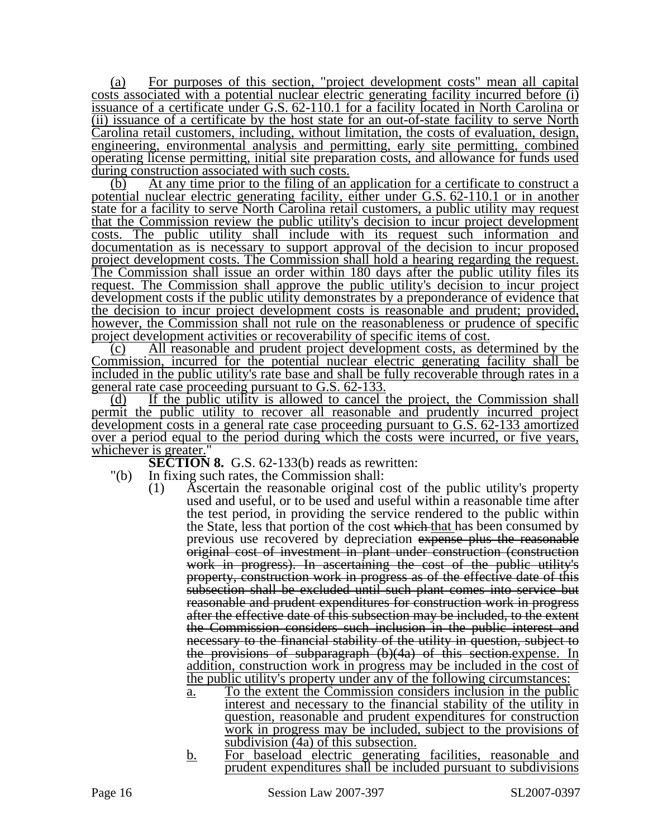(a) For purposes of this section, "project development costs" mean all capital costs associated with a potential nuclear electric generating facility incurred before (i) issuance of a certificate under G.S. 62-110.1 for a facility located in North Carolina or (ii) issuance of a certificate by the host state for an out-of-state facility to serve North Carolina retail customers, including, without limitation, the costs of evaluation, design, engineering, environmental analysis and permitting, early site permitting, combined operating license permitting, initial site preparation costs, and allowance for funds used during construction associated with such costs.

(b) At any time prior to the filing of an application for a certificate to construct a potential nuclear electric generating facility, either under G.S. 62-110.1 or in another state for a facility to serve North Carolina retail customers, a public utility may request that the Commission review the public utility's decision to incur project development costs. The public utility shall include with its request such information and documentation as is necessary to support approval of the decision to incur proposed project development costs. The Commission shall hold a hearing regarding the request. The Commission shall issue an order within 180 days after the public utility files its request. The Commission shall approve the public utility's decision to incur project development costs if the public utility demonstrates by a preponderance of evidence that the decision to incur project development costs is reasonable and prudent; provided, however, the Commission shall not rule on the reasonableness or prudence of specific project development activities or recoverability of specific items of cost.

(c) All reasonable and prudent project development costs, as determined by the Commission, incurred for the potential nuclear electric generating facility shall be included in the public utility's rate base and shall be fully recoverable through rates in a general rate case proceeding pursuant to G.S. 62-133.

(d) If the public utility is allowed to cancel the project, the Commission shall permit the public utility to recover all reasonable and prudently incurred project development costs in a general rate case proceeding pursuant to G.S. 62-133 amortized over a period equal to the period during which the costs were incurred, or five years, whichever is greater."

**SECTION 8.** G.S. 62-133(b) reads as rewritten:

- "(b) In fixing such rates, the Commission shall:
	- (1) Ascertain the reasonable original cost of the public utility's property used and useful, or to be used and useful within a reasonable time after the test period, in providing the service rendered to the public within the State, less that portion of the cost which that has been consumed by previous use recovered by depreciation expense plus the reasonable original cost of investment in plant under construction (construction work in progress). In ascertaining the cost of the public utility's property, construction work in progress as of the effective date of this subsection shall be excluded until such plant comes into service but reasonable and prudent expenditures for construction work in progress after the effective date of this subsection may be included, to the extent the Commission considers such inclusion in the public interest and necessary to the financial stability of the utility in question, subject to the provisions of subparagraph (b)(4a) of this section.expense. In addition, construction work in progress may be included in the cost of the public utility's property under any of the following circumstances:
		- a. To the extent the Commission considers inclusion in the public interest and necessary to the financial stability of the utility in question, reasonable and prudent expenditures for construction work in progress may be included, subject to the provisions of subdivision  $(4a)$  of this subsection.
		- b. For baseload electric generating facilities, reasonable and prudent expenditures shall be included pursuant to subdivisions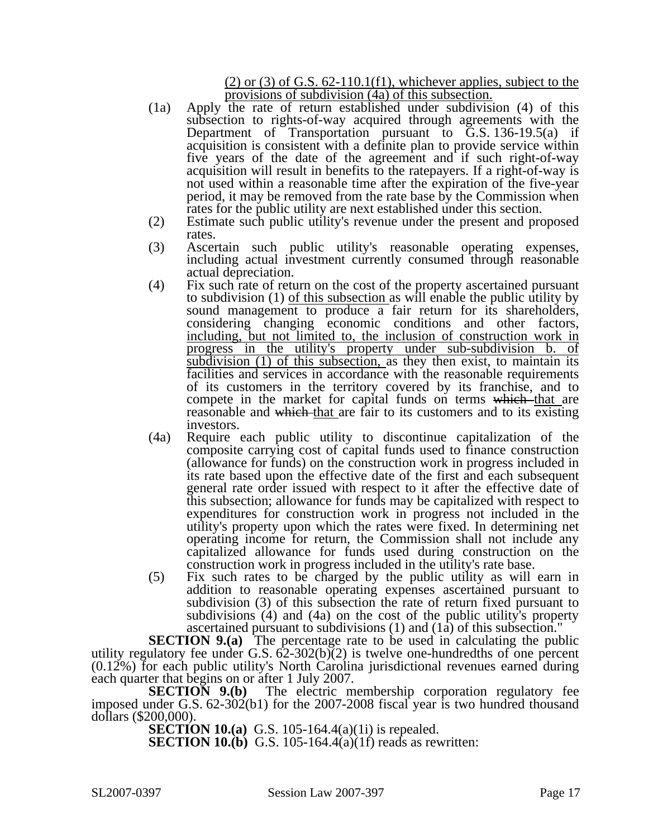$(2)$  or  $(3)$  of G.S. 62-110.1(f1), whichever applies, subject to the provisions of subdivision (4a) of this subsection.

- (1a) Apply the rate of return established under subdivision (4) of this subsection to rights-of-way acquired through agreements with the Department of Transportation pursuant to G.S. 136-19.5(a) if acquisition is consistent with a definite plan to provide service within five years of the date of the agreement and if such right-of-way acquisition will result in benefits to the ratepayers. If a right-of-way is not used within a reasonable time after the expiration of the five-year period, it may be removed from the rate base by the Commission when rates for the public utility are next established under this section.
- (2) Estimate such public utility's revenue under the present and proposed rates.
- (3) Ascertain such public utility's reasonable operating expenses, including actual investment currently consumed through reasonable actual depreciation.
- (4) Fix such rate of return on the cost of the property ascertained pursuant to subdivision (1) of this subsection as will enable the public utility by sound management to produce a fair return for its shareholders, considering changing economic conditions and other factors, including, but not limited to, the inclusion of construction work in progress in the utility's property under sub-subdivision b. of subdivision (1) of this subsection, as they then exist, to maintain its facilities and services in accordance with the reasonable requirements of its customers in the territory covered by its franchise, and to compete in the market for capital funds on terms which that are reasonable and which that are fair to its customers and to its existing investors.
- (4a) Require each public utility to discontinue capitalization of the composite carrying cost of capital funds used to finance construction (allowance for funds) on the construction work in progress included in its rate based upon the effective date of the first and each subsequent general rate order issued with respect to it after the effective date of this subsection; allowance for funds may be capitalized with respect to expenditures for construction work in progress not included in the utility's property upon which the rates were fixed. In determining net operating income for return, the Commission shall not include any capitalized allowance for funds used during construction on the construction work in progress included in the utility's rate base.
- (5) Fix such rates to be charged by the public utility as will earn in addition to reasonable operating expenses ascertained pursuant to subdivision (3) of this subsection the rate of return fixed pursuant to subdivisions (4) and (4a) on the cost of the public utility's property ascertained pursuant to subdivisions (1) and (1a) of this subsection."

**SECTION 9.(a)** The percentage rate to be used in calculating the public utility regulatory fee under G.S.  $62-302(b)(2)$  is twelve one-hundredths of one percent (0.12%) for each public utility's North Carolina jurisdictional revenues earned during each quarter that begins on or after 1 July 2007.<br>**SECTION 9.(b)** The electric m

The electric membership corporation regulatory fee imposed under G.S. 62-302(b1) for the 2007-2008 fiscal year is two hundred thousand dollars (\$200,000).

**SECTION 10.(a)** G.S. 105-164.4(a)(1i) is repealed.

**SECTION 10.(b)** G.S. 105-164.4(a)(1f) reads as rewritten: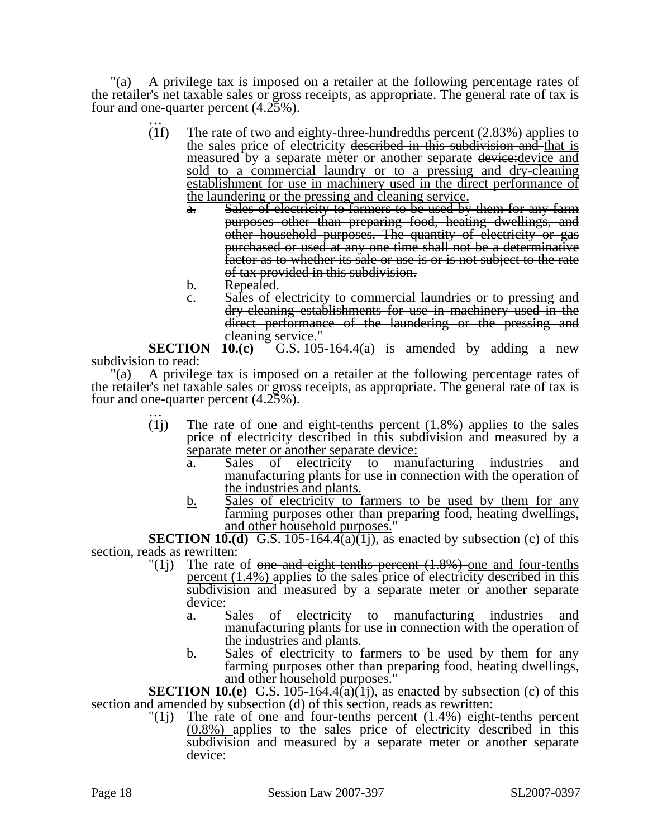"(a) A privilege tax is imposed on a retailer at the following percentage rates of the retailer's net taxable sales or gross receipts, as appropriate. The general rate of tax is four and one-quarter percent  $(4.25\%)$ .<br>(1f) The rate of two and e

- The rate of two and eighty-three-hundredths percent  $(2.83%)$  applies to the sales price of electricity described in this subdivision and that is measured by a separate meter or another separate device: <u>device</u> and sold to a commercial laundry or to a pressing and dry-cleaning establishment for use in machinery used in the direct performance of the laundering or the pressing and cleaning service.
	- Sales of electricity to farmers to be used by them for any farm purposes other than preparing food, heating dwellings, and other household purposes. The quantity of electricity or gas purchased or used at any one time shall not be a determinative factor as to whether its sale or use is or is not subject to the rate of tax provided in this subdivision.
	- b. Repealed.
	- c. Sales of electricity to commercial laundries or to pressing and dry-cleaning establishments for use in machinery used in the direct performance of the laundering or the pressing and

eleaning service."<br>SECTION 10.(c) G.S. 105 G.S.  $105-164.4(a)$  is amended by adding a new subdivision to read:

"(a) A privilege tax is imposed on a retailer at the following percentage rates of the retailer's net taxable sales or gross receipts, as appropriate. The general rate of tax is four and one-quarter percent  $(4.25\%)$ .<br>(1) The rate of one and

- The rate of one and eight-tenths percent  $(1.8\%)$  applies to the sales price of electricity described in this subdivision and measured by a separate meter or another separate device:
	- a. Sales of electricity to manufacturing industries and manufacturing plants for use in connection with the operation of the industries and plants.
	- b. Sales of electricity to farmers to be used by them for any farming purposes other than preparing food, heating dwellings, and other household purposes."

**SECTION 10.(d)** G.S. 105-164.4(a)(1j), as enacted by subsection (c) of this section, reads as rewritten:<br> $(1i)$  The rate

- The rate of one and eight-tenths percent  $(1.8%)$  one and four-tenths percent (1.4%) applies to the sales price of electricity described in this subdivision and measured by a separate meter or another separate device:
	- a. Sales of electricity to manufacturing industries and manufacturing plants for use in connection with the operation of the industries and plants.
	- b. Sales of electricity to farmers to be used by them for any farming purposes other than preparing food, heating dwellings, and other household purposes."

**SECTION 10.(e)** G.S. 105-164.4(a)(1j), as enacted by subsection (c) of this section and amended by subsection (d) of this section, reads as rewritten:

 $\binom{1}{1}$  The rate of one and four-tenths percent  $(1.4%)$  eight-tenths percent (0.8%) applies to the sales price of electricity described in this subdivision and measured by a separate meter or another separate device: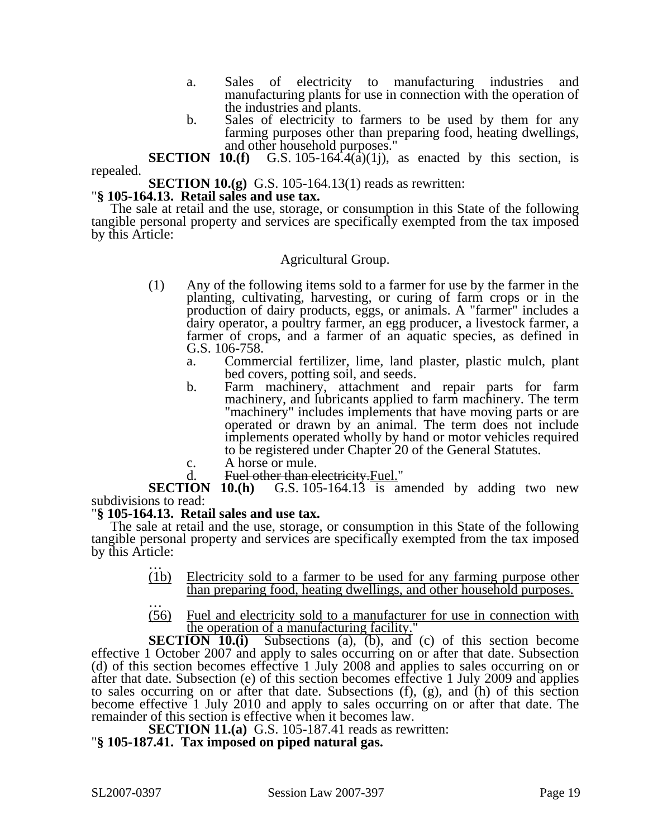- a. Sales of electricity to manufacturing industries and manufacturing plants for use in connection with the operation of the industries and plants.
- b. Sales of electricity to farmers to be used by them for any farming purposes other than preparing food, heating dwellings, and other household purposes."

**SECTION 10.(f)** G.S. 105-164.4(a)(1), as enacted by this section, is repealed.

**SECTION 10.(g)** G.S. 105-164.13(1) reads as rewritten: "§ **105-164.13. Retail sales and use tax.** 

The sale at retail and the use, storage, or consumption in this State of the following tangible personal property and services are specifically exempted from the tax imposed by this Article:

# Agricultural Group.

- (1) Any of the following items sold to a farmer for use by the farmer in the planting, cultivating, harvesting, or curing of farm crops or in the production of dairy products, eggs, or animals. A "farmer" includes a dairy operator, a poultry farmer, an egg producer, a livestock farmer, a farmer of crops, and a farmer of an aquatic species, as defined in G.S. 106-758.
	- a. Commercial fertilizer, lime, land plaster, plastic mulch, plant bed covers, potting soil, and seeds.
	- b. Farm machinery, attachment and repair parts for farm machinery, and lubricants applied to farm machinery. The term "machinery" includes implements that have moving parts or are operated or drawn by an animal. The term does not include implements operated wholly by hand or motor vehicles required to be registered under Chapter 20 of the General Statutes.
	- c. A horse or mule.
	-

d. Fuel other than electricity. Fuel."<br>SECTION 10.(h) G.S. 105-164.13 is an G.S. 105-164.13 is amended by adding two new subdivisions to read:

# "**§ 105-164.13. Retail sales and use tax.**

The sale at retail and the use, storage, or consumption in this State of the following tangible personal property and services are specifically exempted from the tax imposed by this Article:

- (1b) Electricity sold to a farmer to be used for any farming purpose other than preparing food, heating dwellings, and other household purposes.<br>(56) Fuel and electricity sold to a manufacturer for use in connection with
- Fuel and electricity sold to a manufacturer for use in connection with the operation of a manufacturing facility."

**SECTION 10.(i)** Subsections (a), (b), and (c) of this section become effective 1 October 2007 and apply to sales occurring on or after that date. Subsection (d) of this section becomes effective 1 July 2008 and applies to sales occurring on or after that date. Subsection (e) of this section becomes effective 1 July 2009 and applies to sales occurring on or after that date. Subsections (f), (g), and (h) of this section become effective 1 July 2010 and apply to sales occurring on or after that date. The remainder of this section is effective when it becomes law.

**SECTION 11.(a)** G.S. 105-187.41 reads as rewritten: "**§ 105-187.41. Tax imposed on piped natural gas.**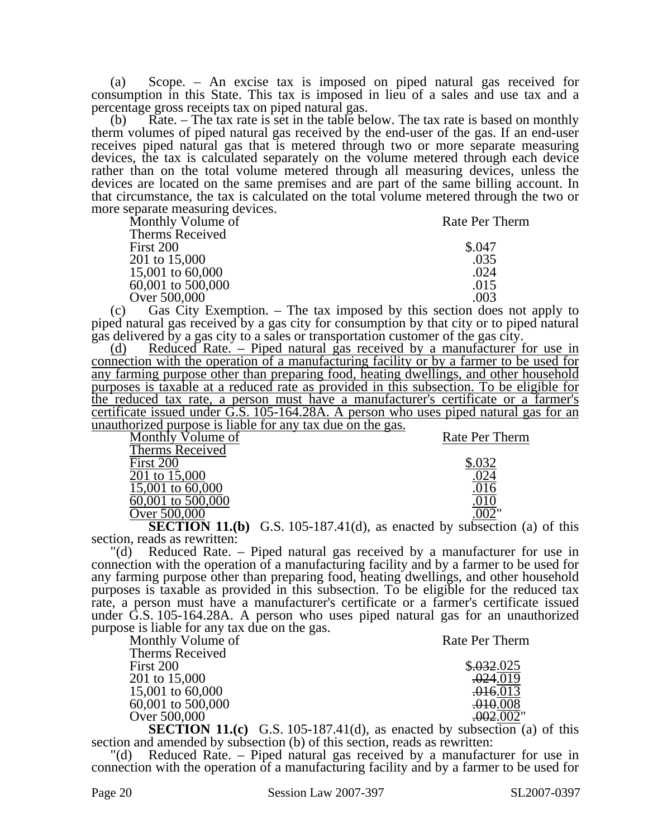(a) Scope. – An excise tax is imposed on piped natural gas received for consumption in this State. This tax is imposed in lieu of a sales and use tax and a percentage gross receipts tax on piped natural gas.

(b) Rate. – The tax rate is set in the table below. The tax rate is based on monthly therm volumes of piped natural gas received by the end-user of the gas. If an end-user receives piped natural gas that is metered through two or more separate measuring devices, the tax is calculated separately on the volume metered through each device rather than on the total volume metered through all measuring devices, unless the devices are located on the same premises and are part of the same billing account. In that circumstance, the tax is calculated on the total volume metered through the two or more separate measuring devices.

| Monthly Volume of | Rate Per Therm |
|-------------------|----------------|
| Therms Received   |                |
| First 200         | \$.047         |
| 201 to 15,000     | .035           |
| 15,001 to 60,000  | .024           |
| 60,001 to 500,000 | .015           |
| Over 500,000      | .003           |

(c) Gas City Exemption. – The tax imposed by this section does not apply to piped natural gas received by a gas city for consumption by that city or to piped natural gas delivered by a gas city to a sales or transportation customer of the gas city.

(d) Reduced Rate. – Piped natural gas received by a manufacturer for use in connection with the operation of a manufacturing facility or by a farmer to be used for any farming purpose other than preparing food, heating dwellings, and other household purposes is taxable at a reduced rate as provided in this subsection. To be eligible for the reduced tax rate, a person must have a manufacturer's certificate or a farmer's certificate issued under G.S. 105-164.28A. A person who uses piped natural gas for an unauthorized purpose is liable for any tax due on the gas.

| Monthly Volume of                                       | Rate Per Therm |
|---------------------------------------------------------|----------------|
| Therms Received                                         |                |
| First 200                                               |                |
| 201 to 15,000                                           |                |
| 15,001 to 60,000                                        |                |
| 60,001 to 500,000                                       |                |
| Over 500,000                                            |                |
| $\sim$ $\sim$ $\sim$ $\sim$ $\sim$ $\sim$ $\sim$ $\sim$ | . .            |

**SECTION 11.(b)** G.S. 105-187.41(d), as enacted by subsection (a) of this section, reads as rewritten:

"(d) Reduced Rate. – Piped natural gas received by a manufacturer for use in connection with the operation of a manufacturing facility and by a farmer to be used for any farming purpose other than preparing food, heating dwellings, and other household purposes is taxable as provided in this subsection. To be eligible for the reduced tax rate, a person must have a manufacturer's certificate or a farmer's certificate issued under G.S. 105-164.28A. A person who uses piped natural gas for an unauthorized purpose is liable for any tax due on the gas.

| Monthly Volume of | Rate Per Therm |
|-------------------|----------------|
| Therms Received   |                |
| First 200         | \$.032.025     |
| 201 to 15,000     | .024.019       |
| 15,001 to 60,000  | .016.013       |
| 60,001 to 500,000 | .010.008       |
| Over 500,000      | .002.002"      |
|                   |                |

**SECTION 11.(c)** G.S. 105-187.41(d), as enacted by subsection (a) of this section and amended by subsection (b) of this section, reads as rewritten:

"(d) Reduced Rate. – Piped natural gas received by a manufacturer for use in connection with the operation of a manufacturing facility and by a farmer to be used for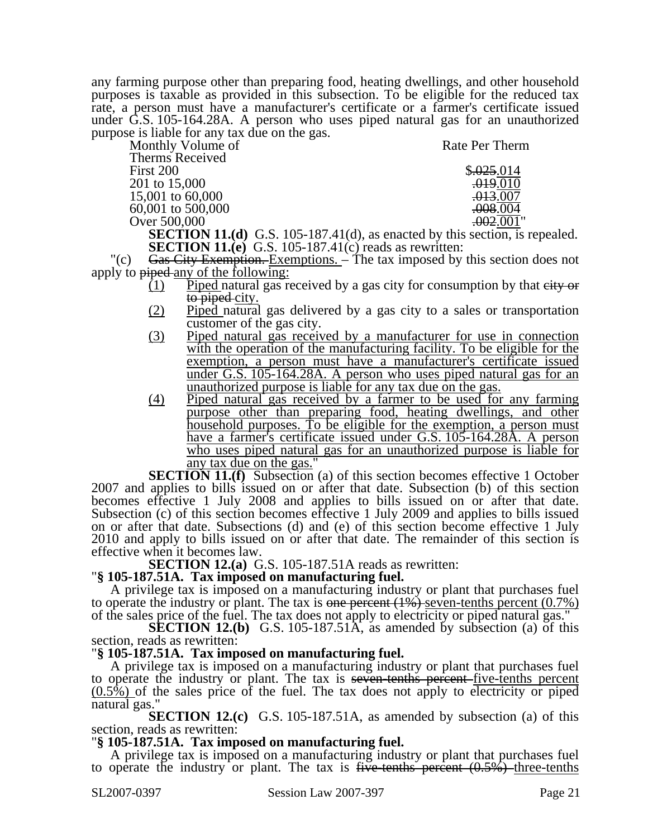any farming purpose other than preparing food, heating dwellings, and other household purposes is taxable as provided in this subsection. To be eligible for the reduced tax rate, a person must have a manufacturer's certificate or a farmer's certificate issued under G.S. 105-164.28A. A person who uses piped natural gas for an unauthorized purpose is liable for any tax due on the gas.

| Monthly Volume of | Rate Per Therm                                                                   |
|-------------------|----------------------------------------------------------------------------------|
| Therms Received   |                                                                                  |
| First 200         | \$.025.014                                                                       |
| 201 to 15,000     | .019.010                                                                         |
| 15,001 to 60,000  | <del>.013</del> .007                                                             |
| 60,001 to 500,000 | .008.004                                                                         |
| Over 500,000      | .002.001"                                                                        |
|                   | <b>SECTION 11 (d)</b> $G_S = 105-187 \pm 11$ (d) as enacted by this section is r |

**SECTION 11.(d)** G.S. 105-187.41(d), as enacted by this section, is repealed. **SECTION 11.(e)** G.S. 105-187.41(c) reads as rewritten:

"(c)  $Gas$  City Exemption. Exemptions. – The tax imposed by this section does not apply to piped any of the following:

- $(1)$  Piped natural gas received by a gas city for consumption by that eity or to piped city.
- (2) Piped natural gas delivered by a gas city to a sales or transportation customer of the gas city.
- (3) Piped natural gas received by a manufacturer for use in connection with the operation of the manufacturing facility. To be eligible for the exemption, a person must have a manufacturer's certificate issued <u>under G.S. 105-164.28A. A person who uses piped natural gas for an</u> unauthorized purpose is liable for any tax due on the gas.
- (4) Piped natural gas received by a farmer to be used for any farming purpose other than preparing food, heating dwellings, and other household purposes. To be eligible for the exemption, a person must have a farmer's certificate issued under G.S. 105-164.28Å. A person who uses piped natural gas for an unauthorized purpose is liable for any tax due on the gas."

**SECTION 11.(f)** Subsection (a) of this section becomes effective 1 October 2007 and applies to bills issued on or after that date. Subsection (b) of this section becomes effective 1 July 2008 and applies to bills issued on or after that date. Subsection (c) of this section becomes effective 1 July 2009 and applies to bills issued on or after that date. Subsections (d) and (e) of this section become effective 1 July 2010 and apply to bills issued on or after that date. The remainder of this section is effective when it becomes law.<br>**SECTION 12.(a)** G.S. 105-187.51A reads as rewritten:

### **SECTION 12.4.3.187.51A. Tax imposed on manufacturing fuel.**

A privilege tax is imposed on a manufacturing industry or plant that purchases fuel to operate the industry or plant. The tax is one percent  $(1%)$  seven-tenths percent  $(0.7%)$ of the sales price of the fuel. The tax does not apply to electricity or piped natural gas."

**SECTION 12.(b)** G.S. 105-187.51A, as amended by subsection (a) of this section, reads as rewritten:

# "**§ 105-187.51A. Tax imposed on manufacturing fuel.**

A privilege tax is imposed on a manufacturing industry or plant that purchases fuel to operate the industry or plant. The tax is seven-tenths percent-five-tenths percent  $(0.5\%)$  of the sales price of the fuel. The tax does not apply to electricity or piped natural gas."

**SECTION 12.(c)** G.S. 105-187.51A, as amended by subsection (a) of this section, reads as rewritten:

# "**§ 105-187.51A. Tax imposed on manufacturing fuel.**

A privilege tax is imposed on a manufacturing industry or plant that purchases fuel to operate the industry or plant. The tax is five-tenths percent  $(0.5\%)$ -three-tenths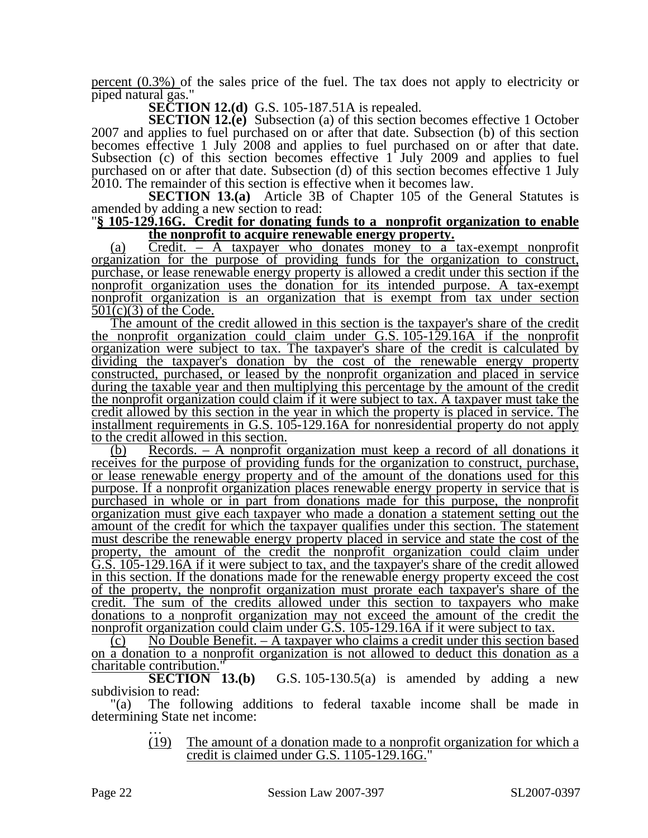percent  $(0.3\%)$  of the sales price of the fuel. The tax does not apply to electricity or piped natural gas."

**SECTION 12.(d)** G.S. 105-187.51A is repealed.

**SECTION 12.(e)** Subsection (a) of this section becomes effective 1 October 2007 and applies to fuel purchased on or after that date. Subsection (b) of this section becomes effective 1 July 2008 and applies to fuel purchased on or after that date. Subsection (c) of this section becomes effective 1 July 2009 and applies to fuel purchased on or after that date. Subsection (d) of this section becomes effective 1 July 2010. The remainder of this section is effective when it becomes law.

**SECTION 13.(a)** Article 3B of Chapter 105 of the General Statutes is amended by adding a new section to read:

### "**§ 105-129.16G. Credit for donating funds to a nonprofit organization to enable the nonprofit to acquire renewable energy property.**

(a) Credit. – A taxpayer who donates money to a tax-exempt nonprofit organization for the purpose of providing funds for the organization to construct, purchase, or lease renewable energy property is allowed a credit under this section if the nonprofit organization uses the donation for its intended purpose. A tax-exempt nonprofit organization is an organization that is exempt from tax under section  $501(c)(3)$  of the Code.

The amount of the credit allowed in this section is the taxpayer's share of the credit the nonprofit organization could claim under G.S. 105-129.16A if the nonprofit organization were subject to tax. The taxpayer's share of the credit is calculated by dividing the taxpayer's donation by the cost of the renewable energy property constructed, purchased, or leased by the nonprofit organization and placed in service during the taxable year and then multiplying this percentage by the amount of the credit the nonprofit organization could claim if it were subject to tax. A taxpayer must take the credit allowed by this section in the year in which the property is placed in service. The installment requirements in G.S. 105-129.16A for nonresidential property do not apply to the credit allowed in this section.

(b) Records. – A nonprofit organization must keep a record of all donations it receives for the purpose of providing funds for the organization to construct, purchase, or lease renewable energy property and of the amount of the donations used for this purpose. If a nonprofit organization places renewable energy property in service that is purchased in whole or in part from donations made for this purpose, the nonprofit organization must give each taxpayer who made a donation a statement setting out the amount of the credit for which the taxpayer qualifies under this section. The statement must describe the renewable energy property placed in service and state the cost of the property, the amount of the credit the nonprofit organization could claim under G.S. 105-129.16A if it were subject to tax, and the taxpayer's share of the credit allowed in this section. If the donations made for the renewable energy property exceed the cost of the property, the nonprofit organization must prorate each taxpayer's share of the credit. The sum of the credits allowed under this section to taxpayers who make donations to a nonprofit organization may not exceed the amount of the credit the nonprofit organization could claim under G.S. 105-129.16A if it were subject to tax.

 $\lambda$  (c) No Double Benefit. – A taxpayer who claims a credit under this section based on a donation to a nonprofit organization is not allowed to deduct this donation as a charitable contribution."

**SECTION 13.(b)** G.S. 105-130.5(a) is amended by adding a new subdivision to read:

"(a) The following additions to federal taxable income shall be made in determining State net income:<br>
...<br>
(19) The amount

The amount of a donation made to a nonprofit organization for which a credit is claimed under G.S. 1105-129.16G."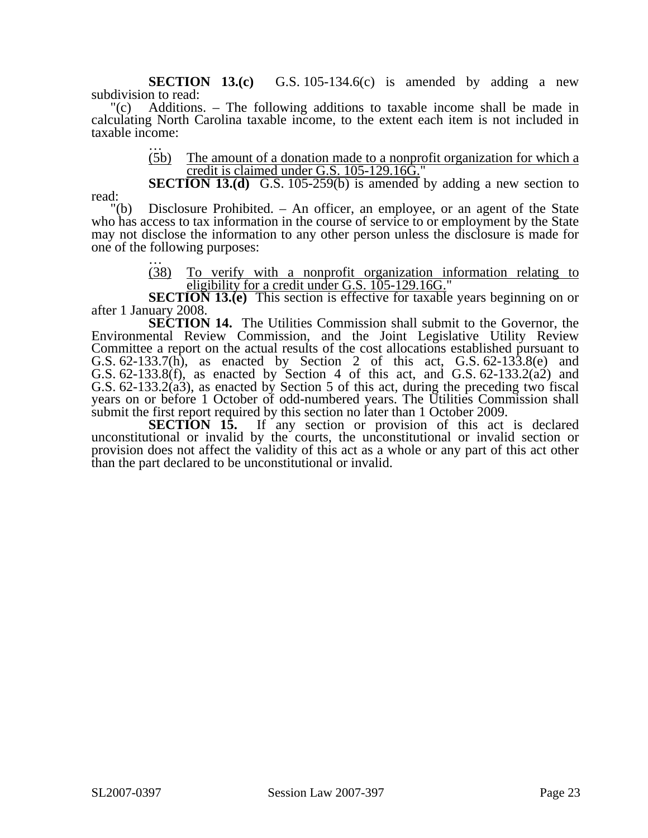**SECTION 13.(c)** G.S. 105-134.6(c) is amended by adding a new subdivision to read:

"(c) Additions. – The following additions to taxable income shall be made in calculating North Carolina taxable income, to the extent each item is not included in taxable income:<br> $\frac{1}{(5b)}$ 

The amount of a donation made to a nonprofit organization for which a credit is claimed under G.S. 105-129.16G."

**SECTION 13.(d)** G.S. 105-259(b) is amended by adding a new section to

read:

"(b) Disclosure Prohibited. – An officer, an employee, or an agent of the State who has access to tax information in the course of service to or employment by the State may not disclose the information to any other person unless the disclosure is made for one of the following purposes:<br>  $\frac{128}{(38)}$  To verify w

(38) To verify with a nonprofit organization information relating to eligibility for a credit under G.S. 105-129.16G."

**SECTION 13.(e)** This section is effective for taxable years beginning on or after 1 January 2008.

**SECTION 14.** The Utilities Commission shall submit to the Governor, the Environmental Review Commission, and the Joint Legislative Utility Review Committee a report on the actual results of the cost allocations established pursuant to G.S. 62-133.7(h), as enacted by Section 2 of this act, G.S. 62-133.8(e) and G.S. 62-133.8(f), as enacted by Section 4 of this act, and G.S. 62-133.2( $\alpha$ 2) and G.S. 62-133.2( $\alpha$ 3), as enacted by Section 5 of this act, during the preceding two fiscal years on or before 1 October of odd-numbered years. The Utilities Commission shall submit the first report required by this section no later than 1 October 2009.

**SECTION 15.** If any section or provision of this act is declared unconstitutional or invalid by the courts, the unconstitutional or invalid section or provision does not affect the validity of this act as a whole or any part of this act other than the part declared to be unconstitutional or invalid.